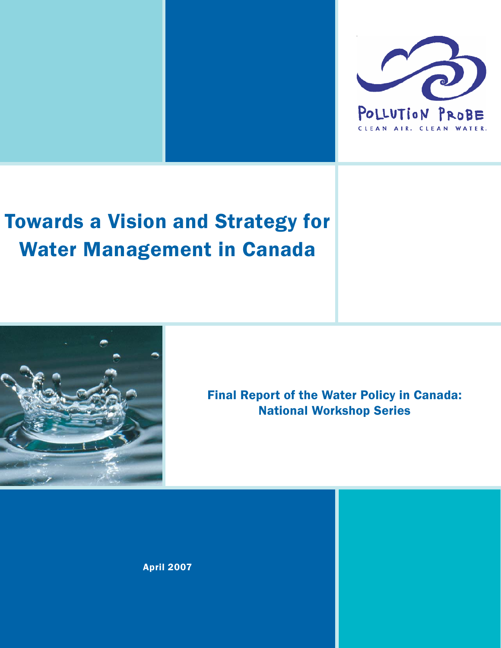

# Towards a Vision and Strategy for Water Management in Canada



Final Report of the Water Policy in Canada: National Workshop Series

April 2007

Pollution Probe 1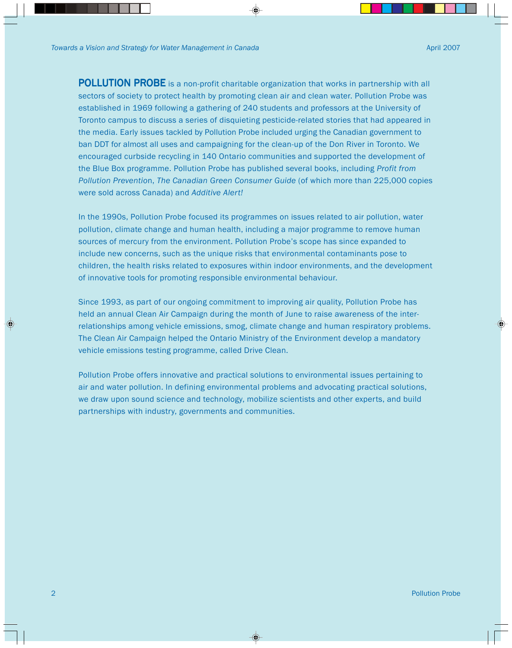**POLLUTION PROBE** is a non-profit charitable organization that works in partnership with all sectors of society to protect health by promoting clean air and clean water. Pollution Probe was established in 1969 following a gathering of 240 students and professors at the University of Toronto campus to discuss a series of disquieting pesticide-related stories that had appeared in the media. Early issues tackled by Pollution Probe included urging the Canadian government to ban DDT for almost all uses and campaigning for the clean-up of the Don River in Toronto. We encouraged curbside recycling in 140 Ontario communities and supported the development of the Blue Box programme. Pollution Probe has published several books, including *Profit from Pollution Preventio*n, *The Canadian Green Consumer Guide* (of which more than 225,000 copies were sold across Canada) and *Additive Alert!*

In the 1990s, Pollution Probe focused its programmes on issues related to air pollution, water pollution, climate change and human health, including a major programme to remove human sources of mercury from the environment. Pollution Probe's scope has since expanded to include new concerns, such as the unique risks that environmental contaminants pose to children, the health risks related to exposures within indoor environments, and the development of innovative tools for promoting responsible environmental behaviour.

Since 1993, as part of our ongoing commitment to improving air quality, Pollution Probe has held an annual Clean Air Campaign during the month of June to raise awareness of the interrelationships among vehicle emissions, smog, climate change and human respiratory problems. The Clean Air Campaign helped the Ontario Ministry of the Environment develop a mandatory vehicle emissions testing programme, called Drive Clean.

Pollution Probe offers innovative and practical solutions to environmental issues pertaining to air and water pollution. In defining environmental problems and advocating practical solutions, we draw upon sound science and technology, mobilize scientists and other experts, and build partnerships with industry, governments and communities.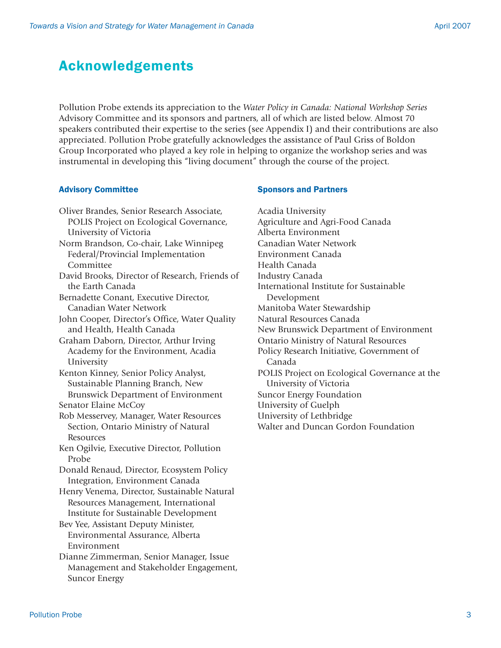## Acknowledgements

Pollution Probe extends its appreciation to the *Water Policy in Canada: National Workshop Series* Advisory Committee and its sponsors and partners, all of which are listed below. Almost 70 speakers contributed their expertise to the series (see Appendix I) and their contributions are also appreciated. Pollution Probe gratefully acknowledges the assistance of Paul Griss of Boldon Group Incorporated who played a key role in helping to organize the workshop series and was instrumental in developing this "living document" through the course of the project.

#### Advisory Committee

Oliver Brandes, Senior Research Associate, POLIS Project on Ecological Governance, University of Victoria Norm Brandson, Co-chair, Lake Winnipeg Federal/Provincial Implementation Committee David Brooks, Director of Research, Friends of the Earth Canada Bernadette Conant, Executive Director, Canadian Water Network John Cooper, Director's Office, Water Quality and Health, Health Canada Graham Daborn, Director, Arthur Irving Academy for the Environment, Acadia University Kenton Kinney, Senior Policy Analyst, Sustainable Planning Branch, New Brunswick Department of Environment Senator Elaine McCoy Rob Messervey, Manager, Water Resources Section, Ontario Ministry of Natural Resources Ken Ogilvie, Executive Director, Pollution Probe Donald Renaud, Director, Ecosystem Policy Integration, Environment Canada Henry Venema, Director, Sustainable Natural Resources Management, International Institute for Sustainable Development Bev Yee, Assistant Deputy Minister, Environmental Assurance, Alberta Environment Dianne Zimmerman, Senior Manager, Issue Management and Stakeholder Engagement, Suncor Energy

#### Sponsors and Partners

Acadia University Agriculture and Agri-Food Canada Alberta Environment Canadian Water Network Environment Canada Health Canada Industry Canada International Institute for Sustainable Development Manitoba Water Stewardship Natural Resources Canada New Brunswick Department of Environment Ontario Ministry of Natural Resources Policy Research Initiative, Government of Canada POLIS Project on Ecological Governance at the University of Victoria Suncor Energy Foundation University of Guelph University of Lethbridge Walter and Duncan Gordon Foundation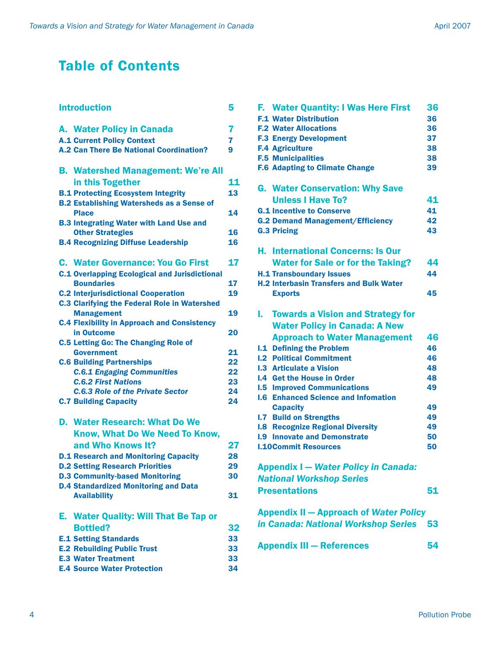## Table of Contents

| <b>Introduction</b> |                                                                          |    |  |  |
|---------------------|--------------------------------------------------------------------------|----|--|--|
|                     | A. Water Policy in Canada                                                | 7  |  |  |
|                     | <b>A.1 Current Policy Context</b>                                        | 7  |  |  |
|                     | <b>A.2 Can There Be National Coordination?</b>                           | 9  |  |  |
|                     | <b>B. Watershed Management: We're All</b>                                |    |  |  |
|                     | in this Together                                                         | 11 |  |  |
|                     | <b>B.1 Protecting Ecosystem Integrity</b>                                | 13 |  |  |
|                     | <b>B.2 Establishing Watersheds as a Sense of</b><br><b>Place</b>         | 14 |  |  |
|                     | <b>B.3 Integrating Water with Land Use and</b>                           |    |  |  |
|                     | <b>Other Strategies</b>                                                  | 16 |  |  |
|                     | <b>B.4 Recognizing Diffuse Leadership</b>                                | 16 |  |  |
|                     |                                                                          |    |  |  |
|                     | <b>C. Water Governance: You Go First</b>                                 | 17 |  |  |
|                     | <b>C.1 Overlapping Ecological and Jurisdictional</b>                     |    |  |  |
|                     | <b>Boundaries</b>                                                        | 17 |  |  |
|                     | <b>C.2 Interjurisdictional Cooperation</b>                               | 19 |  |  |
|                     | <b>C.3 Clarifying the Federal Role in Watershed</b><br><b>Management</b> | 19 |  |  |
|                     | <b>C.4 Flexibility in Approach and Consistency</b>                       |    |  |  |
|                     | in Outcome                                                               | 20 |  |  |
|                     | <b>C.5 Letting Go: The Changing Role of</b>                              |    |  |  |
|                     | <b>Government</b>                                                        | 21 |  |  |
|                     | <b>C.6 Building Partnerships</b>                                         | 22 |  |  |
|                     | <b>C.6.1 Engaging Communities</b>                                        | 22 |  |  |
|                     | <b>C.6.2 First Nations</b>                                               | 23 |  |  |
|                     | <b>C.6.3 Role of the Private Sector</b>                                  | 24 |  |  |
|                     | <b>C.7 Building Capacity</b>                                             | 24 |  |  |
|                     | <b>D. Water Research: What Do We</b>                                     |    |  |  |
|                     | Know, What Do We Need To Know,                                           |    |  |  |
|                     | and Who Knows It?                                                        | 27 |  |  |
|                     | <b>D.1 Research and Monitoring Capacity</b>                              | 28 |  |  |
|                     | <b>D.2 Setting Research Priorities</b>                                   | 29 |  |  |
|                     | <b>D.3 Community-based Monitoring</b>                                    | 30 |  |  |
|                     | <b>D.4 Standardized Monitoring and Data</b>                              |    |  |  |
|                     | <b>Availability</b>                                                      | 31 |  |  |
|                     | E. Water Quality: Will That Be Tap or                                    |    |  |  |
|                     | <b>Bottled?</b>                                                          | 32 |  |  |
|                     |                                                                          | 33 |  |  |
|                     | <b>E.1 Setting Standards</b>                                             | 33 |  |  |
|                     | <b>E.2 Rebuilding Public Trust</b>                                       |    |  |  |
|                     | <b>E.3 Water Treatment</b>                                               | 33 |  |  |
|                     | <b>E.4 Source Water Protection</b>                                       | 34 |  |  |

| F. Water Quantity: I Was Here First            | 36 |  |  |  |  |
|------------------------------------------------|----|--|--|--|--|
| <b>F.1 Water Distribution</b>                  | 36 |  |  |  |  |
| <b>F.2 Water Allocations</b>                   | 36 |  |  |  |  |
| <b>F.3 Energy Development</b>                  | 37 |  |  |  |  |
|                                                |    |  |  |  |  |
| <b>F.4 Agriculture</b>                         | 38 |  |  |  |  |
| <b>F.5 Municipalities</b>                      | 38 |  |  |  |  |
| <b>F.6 Adapting to Climate Change</b>          | 39 |  |  |  |  |
| <b>G. Water Conservation: Why Save</b>         |    |  |  |  |  |
| <b>Unless   Have To?</b>                       | 41 |  |  |  |  |
|                                                |    |  |  |  |  |
| <b>G.1 Incentive to Conserve</b>               | 41 |  |  |  |  |
| <b>G.2 Demand Management/Efficiency</b>        | 42 |  |  |  |  |
| <b>G.3 Pricing</b>                             | 43 |  |  |  |  |
| <b>H. International Concerns: Is Our</b>       |    |  |  |  |  |
| <b>Water for Sale or for the Taking?</b>       | 44 |  |  |  |  |
| <b>H.1 Transboundary Issues</b>                | 44 |  |  |  |  |
| <b>H.2 Interbasin Transfers and Bulk Water</b> |    |  |  |  |  |
|                                                |    |  |  |  |  |
| <b>Exports</b>                                 | 45 |  |  |  |  |
| <b>Towards a Vision and Strategy for</b><br>L. |    |  |  |  |  |
| <b>Water Policy in Canada: A New</b>           |    |  |  |  |  |
| <b>Approach to Water Management</b>            | 46 |  |  |  |  |
| <b>I.1 Defining the Problem</b>                | 46 |  |  |  |  |
| <b>I.2 Political Commitment</b>                | 46 |  |  |  |  |
| <b>I.3 Articulate a Vision</b>                 | 48 |  |  |  |  |
| <b>I.4 Get the House in Order</b>              | 48 |  |  |  |  |
| <b>I.5 Improved Communications</b>             | 49 |  |  |  |  |
| <b>I.6 Enhanced Science and Infomation</b>     |    |  |  |  |  |
| <b>Capacity</b>                                | 49 |  |  |  |  |
| <b>I.7 Build on Strengths</b>                  | 49 |  |  |  |  |
|                                                |    |  |  |  |  |
| <b>I.8 Recognize Regional Diversity</b>        | 49 |  |  |  |  |
| <b>I.9 Innovate and Demonstrate</b>            | 50 |  |  |  |  |
| <b>I.10Commit Resources</b>                    | 50 |  |  |  |  |
| <b>Appendix I - Water Policy in Canada:</b>    |    |  |  |  |  |
| <b>National Workshop Series</b>                |    |  |  |  |  |
| <b>Presentations</b>                           | 51 |  |  |  |  |
|                                                |    |  |  |  |  |
| <b>Appendix II - Approach of Water Policy</b>  |    |  |  |  |  |
| in Canada: National Workshop Series 53         |    |  |  |  |  |

Appendix III – References 54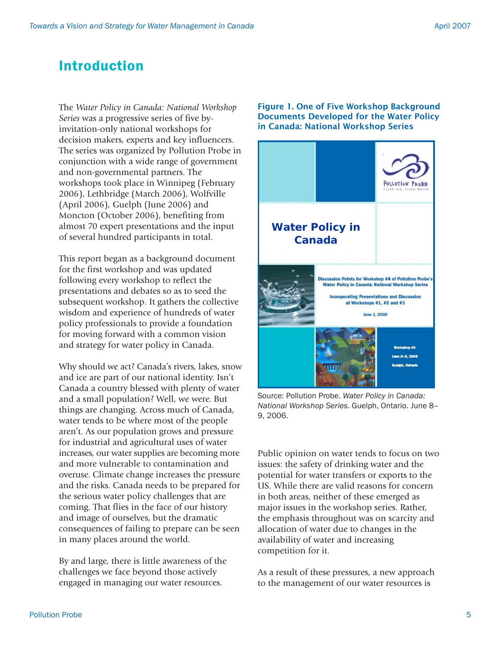## Introduction

The *Water Policy in Canada: National Workshop Series* was a progressive series of five byinvitation-only national workshops for decision makers, experts and key influencers. The series was organized by Pollution Probe in conjunction with a wide range of government and non-governmental partners. The workshops took place in Winnipeg (February 2006), Lethbridge (March 2006), Wolfville (April 2006), Guelph (June 2006) and Moncton (October 2006), benefiting from almost 70 expert presentations and the input of several hundred participants in total.

This report began as a background document for the first workshop and was updated following every workshop to reflect the presentations and debates so as to seed the subsequent workshop. It gathers the collective wisdom and experience of hundreds of water policy professionals to provide a foundation for moving forward with a common vision and strategy for water policy in Canada.

Why should we act? Canada's rivers, lakes, snow and ice are part of our national identity. Isn't Canada a country blessed with plenty of water and a small population? Well, we were. But things are changing. Across much of Canada, water tends to be where most of the people aren't. As our population grows and pressure for industrial and agricultural uses of water increases, our water supplies are becoming more and more vulnerable to contamination and overuse. Climate change increases the pressure and the risks. Canada needs to be prepared for the serious water policy challenges that are coming. That flies in the face of our history and image of ourselves, but the dramatic consequences of failing to prepare can be seen in many places around the world.

By and large, there is little awareness of the challenges we face beyond those actively engaged in managing our water resources.

Figure 1. One of Five Workshop Background Documents Developed for the Water Policy in Canada: National Workshop Series



Source: Pollution Probe. *Water Policy in Canada: National Workshop Series*. Guelph, Ontario. June 8– 9, 2006.

Public opinion on water tends to focus on two issues: the safety of drinking water and the potential for water transfers or exports to the US. While there are valid reasons for concern in both areas, neither of these emerged as major issues in the workshop series. Rather, the emphasis throughout was on scarcity and allocation of water due to changes in the availability of water and increasing competition for it.

As a result of these pressures, a new approach to the management of our water resources is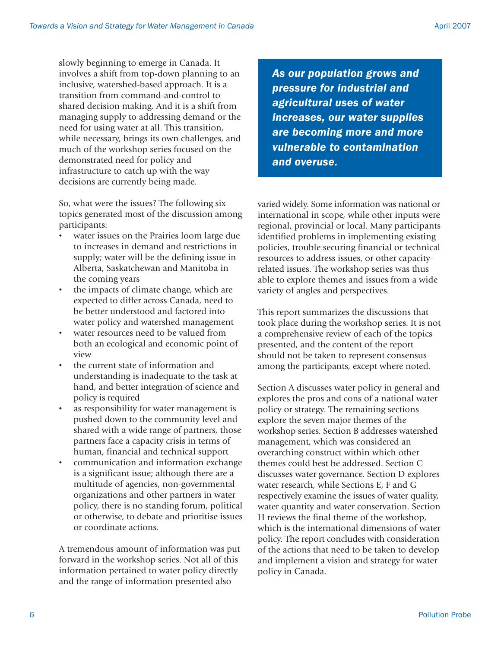slowly beginning to emerge in Canada. It involves a shift from top-down planning to an inclusive, watershed-based approach. It is a transition from command-and-control to shared decision making. And it is a shift from managing supply to addressing demand or the need for using water at all. This transition, while necessary, brings its own challenges, and much of the workshop series focused on the demonstrated need for policy and infrastructure to catch up with the way decisions are currently being made.

So, what were the issues? The following six topics generated most of the discussion among participants:

- water issues on the Prairies loom large due to increases in demand and restrictions in supply; water will be the defining issue in Alberta, Saskatchewan and Manitoba in the coming years
- the impacts of climate change, which are expected to differ across Canada, need to be better understood and factored into water policy and watershed management
- water resources need to be valued from both an ecological and economic point of view
- the current state of information and understanding is inadequate to the task at hand, and better integration of science and policy is required
- as responsibility for water management is pushed down to the community level and shared with a wide range of partners, those partners face a capacity crisis in terms of human, financial and technical support
- communication and information exchange is a significant issue; although there are a multitude of agencies, non-governmental organizations and other partners in water policy, there is no standing forum, political or otherwise, to debate and prioritise issues or coordinate actions.

A tremendous amount of information was put forward in the workshop series. Not all of this information pertained to water policy directly and the range of information presented also

*As our population grows and pressure for industrial and agricultural uses of water increases, our water supplies are becoming more and more vulnerable to contamination and overuse.*

varied widely. Some information was national or international in scope, while other inputs were regional, provincial or local. Many participants identified problems in implementing existing policies, trouble securing financial or technical resources to address issues, or other capacityrelated issues. The workshop series was thus able to explore themes and issues from a wide variety of angles and perspectives.

This report summarizes the discussions that took place during the workshop series. It is not a comprehensive review of each of the topics presented, and the content of the report should not be taken to represent consensus among the participants, except where noted.

Section A discusses water policy in general and explores the pros and cons of a national water policy or strategy. The remaining sections explore the seven major themes of the workshop series. Section B addresses watershed management, which was considered an overarching construct within which other themes could best be addressed. Section C discusses water governance. Section D explores water research, while Sections E, F and G respectively examine the issues of water quality, water quantity and water conservation. Section H reviews the final theme of the workshop, which is the international dimensions of water policy. The report concludes with consideration of the actions that need to be taken to develop and implement a vision and strategy for water policy in Canada.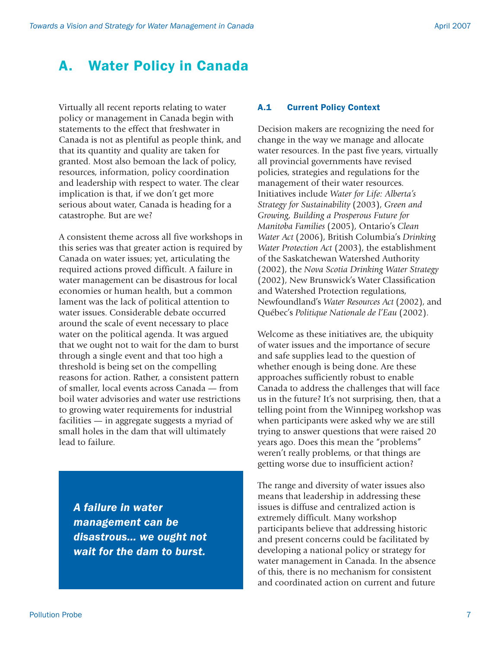## A. Water Policy in Canada

Virtually all recent reports relating to water policy or management in Canada begin with statements to the effect that freshwater in Canada is not as plentiful as people think, and that its quantity and quality are taken for granted. Most also bemoan the lack of policy, resources, information, policy coordination and leadership with respect to water. The clear implication is that, if we don't get more serious about water, Canada is heading for a catastrophe. But are we?

A consistent theme across all five workshops in this series was that greater action is required by Canada on water issues; yet, articulating the required actions proved difficult. A failure in water management can be disastrous for local economies or human health, but a common lament was the lack of political attention to water issues. Considerable debate occurred around the scale of event necessary to place water on the political agenda. It was argued that we ought not to wait for the dam to burst through a single event and that too high a threshold is being set on the compelling reasons for action. Rather, a consistent pattern of smaller, local events across Canada — from boil water advisories and water use restrictions to growing water requirements for industrial facilities — in aggregate suggests a myriad of small holes in the dam that will ultimately lead to failure.

*A failure in water management can be disastrous… we ought not wait for the dam to burst.*

### A.1 Current Policy Context

Decision makers are recognizing the need for change in the way we manage and allocate water resources. In the past five years, virtually all provincial governments have revised policies, strategies and regulations for the management of their water resources. Initiatives include *Water for Life: Alberta's Strategy for Sustainability* (2003), *Green and Growing, Building a Prosperous Future for Manitoba Families* (2005), Ontario's *Clean Water Act* (2006), British Columbia's *Drinking Water Protection Act* (2003), the establishment of the Saskatchewan Watershed Authority (2002), the *Nova Scotia Drinking Water Strategy* (2002), New Brunswick's Water Classification and Watershed Protection regulations, Newfoundland's *Water Resources Act* (2002), and Québec's *Politique Nationale de l'Eau* (2002).

Welcome as these initiatives are, the ubiquity of water issues and the importance of secure and safe supplies lead to the question of whether enough is being done. Are these approaches sufficiently robust to enable Canada to address the challenges that will face us in the future? It's not surprising, then, that a telling point from the Winnipeg workshop was when participants were asked why we are still trying to answer questions that were raised 20 years ago. Does this mean the "problems" weren't really problems, or that things are getting worse due to insufficient action?

The range and diversity of water issues also means that leadership in addressing these issues is diffuse and centralized action is extremely difficult. Many workshop participants believe that addressing historic and present concerns could be facilitated by developing a national policy or strategy for water management in Canada. In the absence of this, there is no mechanism for consistent and coordinated action on current and future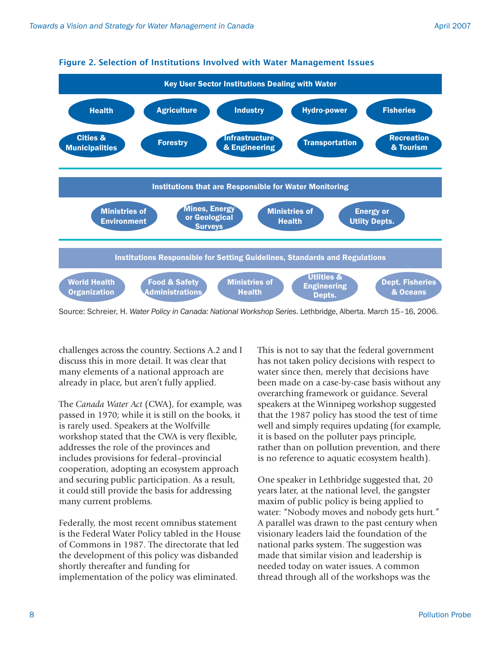

Figure 2. Selection of Institutions Involved with Water Management Issues

Source: Schreier, H. *Water Policy in Canada: National Workshop Series*. Lethbridge, Alberta. March 15–16, 2006.

challenges across the country. Sections A.2 and I discuss this in more detail. It was clear that many elements of a national approach are already in place, but aren't fully applied.

The *Canada Water Act* (CWA), for example, was passed in 1970; while it is still on the books, it is rarely used. Speakers at the Wolfville workshop stated that the CWA is very flexible, addresses the role of the provinces and includes provisions for federal–provincial cooperation, adopting an ecosystem approach and securing public participation. As a result, it could still provide the basis for addressing many current problems.

Federally, the most recent omnibus statement is the Federal Water Policy tabled in the House of Commons in 1987. The directorate that led the development of this policy was disbanded shortly thereafter and funding for implementation of the policy was eliminated.

This is not to say that the federal government has not taken policy decisions with respect to water since then, merely that decisions have been made on a case-by-case basis without any overarching framework or guidance. Several speakers at the Winnipeg workshop suggested that the 1987 policy has stood the test of time well and simply requires updating (for example, it is based on the polluter pays principle, rather than on pollution prevention, and there is no reference to aquatic ecosystem health).

One speaker in Lethbridge suggested that, 20 years later, at the national level, the gangster maxim of public policy is being applied to water: "Nobody moves and nobody gets hurt." A parallel was drawn to the past century when visionary leaders laid the foundation of the national parks system. The suggestion was made that similar vision and leadership is needed today on water issues. A common thread through all of the workshops was the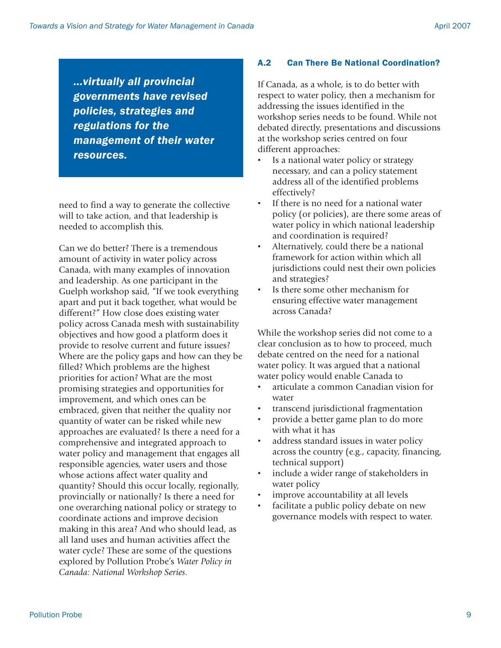*...virtually all provincial governments have revised policies, strategies and regulations for the management of their water resources.*

need to find a way to generate the collective will to take action, and that leadership is needed to accomplish this.

Can we do better? There is a tremendous amount of activity in water policy across Canada, with many examples of innovation and leadership. As one participant in the Guelph workshop said, "If we took everything apart and put it back together, what would be different?" How close does existing water policy across Canada mesh with sustainability objectives and how good a platform does it provide to resolve current and future issues? Where are the policy gaps and how can they be filled? Which problems are the highest priorities for action? What are the most promising strategies and opportunities for improvement, and which ones can be embraced, given that neither the quality nor quantity of water can be risked while new approaches are evaluated? Is there a need for a comprehensive and integrated approach to water policy and management that engages all responsible agencies, water users and those whose actions affect water quality and quantity? Should this occur locally, regionally, provincially or nationally? Is there a need for one overarching national policy or strategy to coordinate actions and improve decision making in this area? And who should lead, as all land uses and human activities affect the water cycle? These are some of the questions explored by Pollution Probe's *Water Policy in Canada: National Workshop Series*.

## A.2 Can There Be National Coordination?

If Canada, as a whole, is to do better with respect to water policy, then a mechanism for addressing the issues identified in the workshop series needs to be found. While not debated directly, presentations and discussions at the workshop series centred on four different approaches:

- Is a national water policy or strategy necessary, and can a policy statement address all of the identified problems effectively?
- If there is no need for a national water policy (or policies), are there some areas of water policy in which national leadership and coordination is required?
- Alternatively, could there be a national framework for action within which all jurisdictions could nest their own policies and strategies?
- Is there some other mechanism for ensuring effective water management across Canada?

While the workshop series did not come to a clear conclusion as to how to proceed, much debate centred on the need for a national water policy. It was argued that a national water policy would enable Canada to

- articulate a common Canadian vision for water
- transcend jurisdictional fragmentation
- provide a better game plan to do more with what it has
- address standard issues in water policy across the country (e.g., capacity, financing, technical support)
- include a wider range of stakeholders in water policy
- improve accountability at all levels
- facilitate a public policy debate on new governance models with respect to water.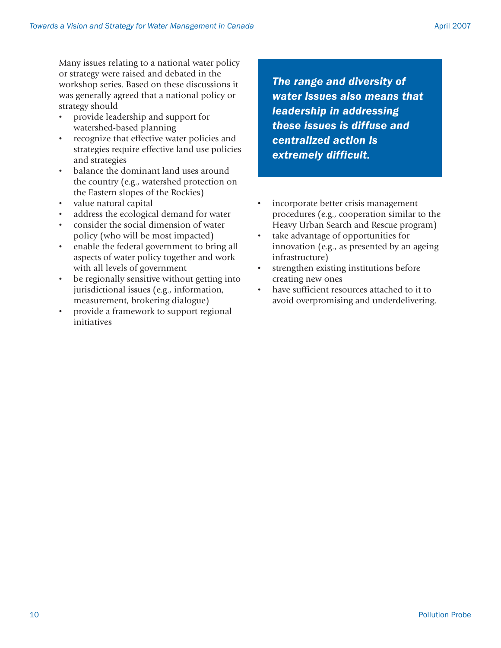Many issues relating to a national water policy or strategy were raised and debated in the workshop series. Based on these discussions it was generally agreed that a national policy or strategy should

- provide leadership and support for watershed-based planning
- recognize that effective water policies and strategies require effective land use policies and strategies
- balance the dominant land uses around the country (e.g., watershed protection on the Eastern slopes of the Rockies)
- value natural capital
- address the ecological demand for water
- consider the social dimension of water policy (who will be most impacted)
- enable the federal government to bring all aspects of water policy together and work with all levels of government
- be regionally sensitive without getting into jurisdictional issues (e.g., information, measurement, brokering dialogue)
- provide a framework to support regional initiatives

*The range and diversity of water issues also means that leadership in addressing these issues is diffuse and centralized action is extremely difficult.*

- incorporate better crisis management procedures (e.g., cooperation similar to the Heavy Urban Search and Rescue program)
- take advantage of opportunities for innovation (e.g., as presented by an ageing infrastructure)
- strengthen existing institutions before creating new ones
- have sufficient resources attached to it to avoid overpromising and underdelivering.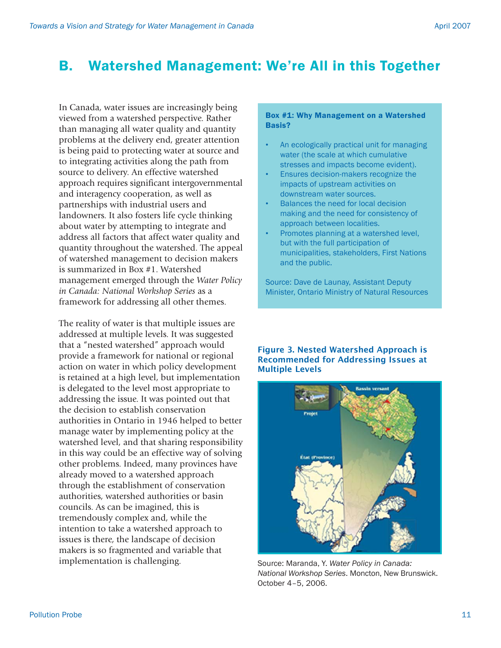## B. Watershed Management: We're All in this Together

In Canada, water issues are increasingly being viewed from a watershed perspective. Rather than managing all water quality and quantity problems at the delivery end, greater attention is being paid to protecting water at source and to integrating activities along the path from source to delivery. An effective watershed approach requires significant intergovernmental and interagency cooperation, as well as partnerships with industrial users and landowners. It also fosters life cycle thinking about water by attempting to integrate and address all factors that affect water quality and quantity throughout the watershed. The appeal of watershed management to decision makers is summarized in Box #1. Watershed management emerged through the *Water Policy in Canada: National Workshop Series* as a framework for addressing all other themes.

The reality of water is that multiple issues are addressed at multiple levels. It was suggested that a "nested watershed" approach would provide a framework for national or regional action on water in which policy development is retained at a high level, but implementation is delegated to the level most appropriate to addressing the issue. It was pointed out that the decision to establish conservation authorities in Ontario in 1946 helped to better manage water by implementing policy at the watershed level, and that sharing responsibility in this way could be an effective way of solving other problems. Indeed, many provinces have already moved to a watershed approach through the establishment of conservation authorities, watershed authorities or basin councils. As can be imagined, this is tremendously complex and, while the intention to take a watershed approach to issues is there, the landscape of decision makers is so fragmented and variable that implementation is challenging.

#### Box #1: Why Management on a Watershed Basis?

- An ecologically practical unit for managing water (the scale at which cumulative stresses and impacts become evident).
- Ensures decision-makers recognize the impacts of upstream activities on downstream water sources.
- Balances the need for local decision making and the need for consistency of approach between localities.
- Promotes planning at a watershed level, but with the full participation of municipalities, stakeholders, First Nations and the public.

Source: Dave de Launay, Assistant Deputy Minister, Ontario Ministry of Natural Resources

#### Figure 3. Nested Watershed Approach is Recommended for Addressing Issues at Multiple Levels



Source: Maranda, Y. *Water Policy in Canada: National Workshop Series*. Moncton, New Brunswick. October 4–5, 2006.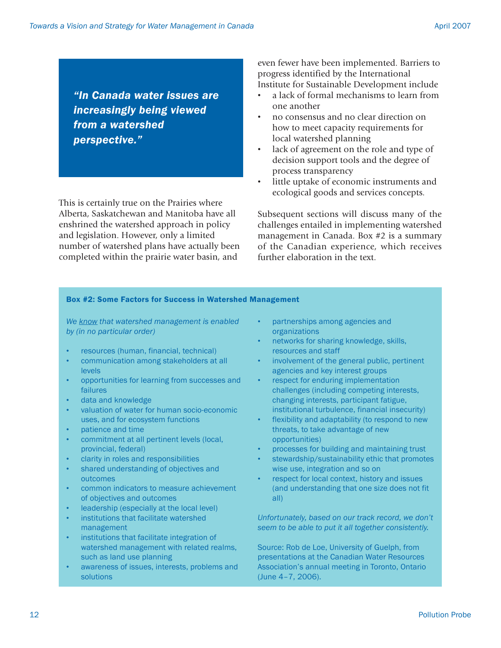*"In Canada water issues are increasingly being viewed from a watershed perspective."*

This is certainly true on the Prairies where Alberta, Saskatchewan and Manitoba have all enshrined the watershed approach in policy and legislation. However, only a limited number of watershed plans have actually been completed within the prairie water basin, and

even fewer have been implemented. Barriers to progress identified by the International Institute for Sustainable Development include

- a lack of formal mechanisms to learn from one another
- no consensus and no clear direction on how to meet capacity requirements for local watershed planning
- lack of agreement on the role and type of decision support tools and the degree of process transparency
- little uptake of economic instruments and ecological goods and services concepts.

Subsequent sections will discuss many of the challenges entailed in implementing watershed management in Canada. Box #2 is a summary of the Canadian experience, which receives further elaboration in the text.

#### Box #2: Some Factors for Success in Watershed Management

*We know that watershed management is enabled by (in no particular order)*

- resources (human, financial, technical)
- communication among stakeholders at all levels
- opportunities for learning from successes and failures
- data and knowledge
- valuation of water for human socio-economic uses, and for ecosystem functions
- patience and time
- commitment at all pertinent levels (local, provincial, federal)
- clarity in roles and responsibilities
- shared understanding of objectives and outcomes
- common indicators to measure achievement of objectives and outcomes
- leadership (especially at the local level)
- institutions that facilitate watershed management
- institutions that facilitate integration of watershed management with related realms, such as land use planning
- awareness of issues, interests, problems and solutions
- partnerships among agencies and organizations
- networks for sharing knowledge, skills, resources and staff
- involvement of the general public, pertinent agencies and key interest groups
- respect for enduring implementation challenges (including competing interests, changing interests, participant fatigue, institutional turbulence, financial insecurity)
- flexibility and adaptability (to respond to new threats, to take advantage of new opportunities)
- processes for building and maintaining trust
- stewardship/sustainability ethic that promotes wise use, integration and so on
- respect for local context, history and issues (and understanding that one size does not fit all)

*Unfortunately, based on our track record, we don't seem to be able to put it all together consistently.*

Source: Rob de Loe, University of Guelph, from presentations at the Canadian Water Resources Association's annual meeting in Toronto, Ontario (June 4–7, 2006).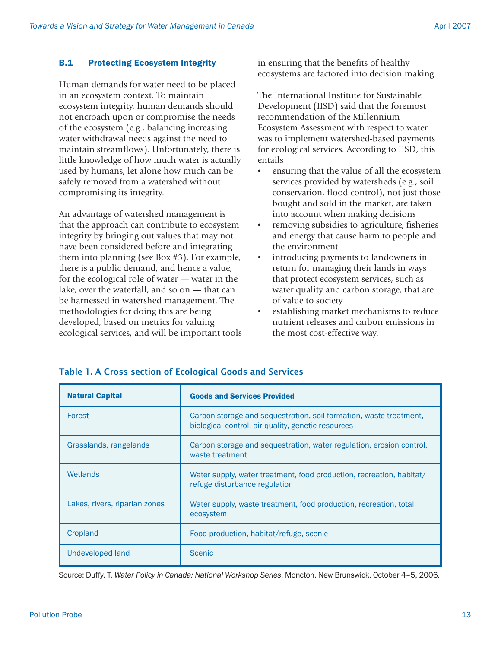## B.1 Protecting Ecosystem Integrity

Human demands for water need to be placed in an ecosystem context. To maintain ecosystem integrity, human demands should not encroach upon or compromise the needs of the ecosystem (e.g., balancing increasing water withdrawal needs against the need to maintain streamflows). Unfortunately, there is little knowledge of how much water is actually used by humans, let alone how much can be safely removed from a watershed without compromising its integrity.

An advantage of watershed management is that the approach can contribute to ecosystem integrity by bringing out values that may not have been considered before and integrating them into planning (see Box #3). For example, there is a public demand, and hence a value, for the ecological role of water — water in the lake, over the waterfall, and so on — that can be harnessed in watershed management. The methodologies for doing this are being developed, based on metrics for valuing ecological services, and will be important tools in ensuring that the benefits of healthy ecosystems are factored into decision making.

The International Institute for Sustainable Development (IISD) said that the foremost recommendation of the Millennium Ecosystem Assessment with respect to water was to implement watershed-based payments for ecological services. According to IISD, this entails

- ensuring that the value of all the ecosystem services provided by watersheds (e.g., soil conservation, flood control), not just those bought and sold in the market, are taken into account when making decisions
- removing subsidies to agriculture, fisheries and energy that cause harm to people and the environment
- introducing payments to landowners in return for managing their lands in ways that protect ecosystem services, such as water quality and carbon storage, that are of value to society
- establishing market mechanisms to reduce nutrient releases and carbon emissions in the most cost-effective way.

| <b>Natural Capital</b>        | <b>Goods and Services Provided</b>                                                                                       |  |  |
|-------------------------------|--------------------------------------------------------------------------------------------------------------------------|--|--|
| Forest                        | Carbon storage and sequestration, soil formation, waste treatment,<br>biological control, air quality, genetic resources |  |  |
| Grasslands, rangelands        | Carbon storage and sequestration, water regulation, erosion control,<br>waste treatment                                  |  |  |
| Wetlands                      | Water supply, water treatment, food production, recreation, habitat/<br>refuge disturbance regulation                    |  |  |
| Lakes, rivers, riparian zones | Water supply, waste treatment, food production, recreation, total<br>ecosystem                                           |  |  |
| Cropland                      | Food production, habitat/refuge, scenic                                                                                  |  |  |
| Undeveloped land              | <b>Scenic</b>                                                                                                            |  |  |

## Table 1. A Cross-section of Ecological Goods and Services

Source: Duffy, T. *Water Policy in Canada: National Workshop Series*. Moncton, New Brunswick. October 4–5, 2006.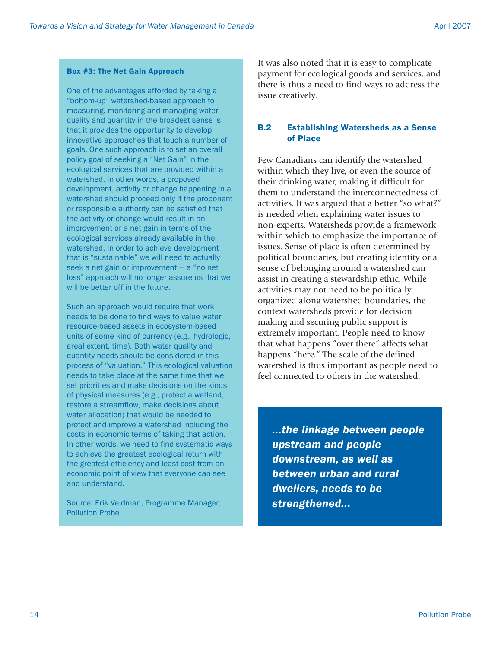### Box #3: The Net Gain Approach

One of the advantages afforded by taking a "bottom-up" watershed-based approach to measuring, monitoring and managing water quality and quantity in the broadest sense is that it provides the opportunity to develop innovative approaches that touch a number of goals. One such approach is to set an overall policy goal of seeking a "Net Gain" in the ecological services that are provided within a watershed. In other words, a proposed development, activity or change happening in a watershed should proceed only if the proponent or responsible authority can be satisfied that the activity or change would result in an improvement or a net gain in terms of the ecological services already available in the watershed. In order to achieve development that is "sustainable" we will need to actually seek a net gain or improvement — a "no net loss" approach will no longer assure us that we will be better off in the future.

Such an approach would require that work needs to be done to find ways to value water resource-based assets in ecosystem-based units of some kind of currency (e.g., hydrologic, areal extent, time). Both water quality and quantity needs should be considered in this process of "valuation." This ecological valuation needs to take place at the same time that we set priorities and make decisions on the kinds of physical measures (e.g., protect a wetland, restore a streamflow, make decisions about water allocation) that would be needed to protect and improve a watershed including the costs in economic terms of taking that action. In other words, we need to find systematic ways to achieve the greatest ecological return with the greatest efficiency and least cost from an economic point of view that everyone can see and understand.

Source: Erik Veldman, Programme Manager, Pollution Probe

It was also noted that it is easy to complicate payment for ecological goods and services, and there is thus a need to find ways to address the issue creatively.

## B.2 Establishing Watersheds as a Sense of Place

Few Canadians can identify the watershed within which they live, or even the source of their drinking water, making it difficult for them to understand the interconnectedness of activities. It was argued that a better "so what?" is needed when explaining water issues to non-experts. Watersheds provide a framework within which to emphasize the importance of issues. Sense of place is often determined by political boundaries, but creating identity or a sense of belonging around a watershed can assist in creating a stewardship ethic. While activities may not need to be politically organized along watershed boundaries, the context watersheds provide for decision making and securing public support is extremely important. People need to know that what happens "over there" affects what happens "here." The scale of the defined watershed is thus important as people need to feel connected to others in the watershed.

*...the linkage between people upstream and people downstream, as well as between urban and rural dwellers, needs to be strengthened...*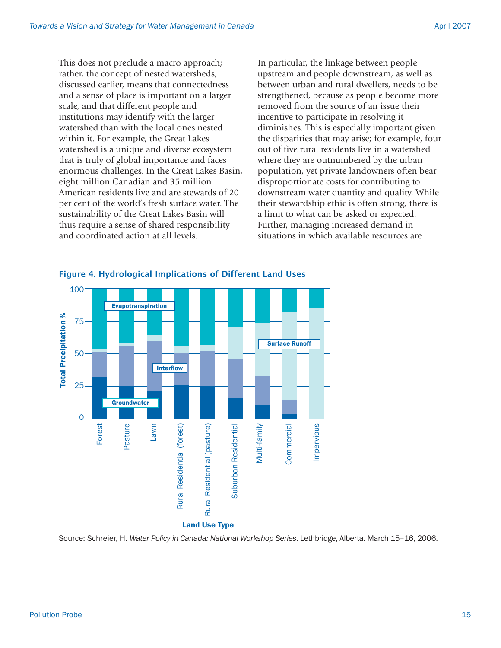This does not preclude a macro approach; rather, the concept of nested watersheds, discussed earlier, means that connectedness and a sense of place is important on a larger scale, and that different people and institutions may identify with the larger watershed than with the local ones nested within it. For example, the Great Lakes watershed is a unique and diverse ecosystem that is truly of global importance and faces enormous challenges. In the Great Lakes Basin, eight million Canadian and 35 million American residents live and are stewards of 20 per cent of the world's fresh surface water. The sustainability of the Great Lakes Basin will thus require a sense of shared responsibility and coordinated action at all levels.

In particular, the linkage between people upstream and people downstream, as well as between urban and rural dwellers, needs to be strengthened, because as people become more removed from the source of an issue their incentive to participate in resolving it diminishes. This is especially important given the disparities that may arise; for example, four out of five rural residents live in a watershed where they are outnumbered by the urban population, yet private landowners often bear disproportionate costs for contributing to downstream water quantity and quality. While their stewardship ethic is often strong, there is a limit to what can be asked or expected. Further, managing increased demand in situations in which available resources are



#### Figure 4. Hydrological Implications of Different Land Uses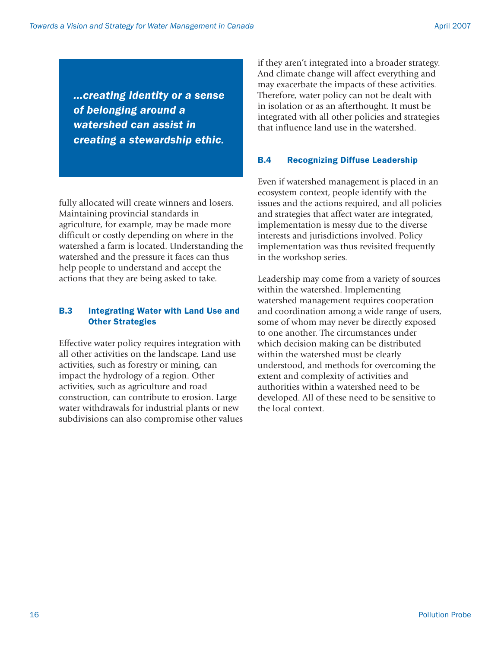*...creating identity or a sense of belonging around a watershed can assist in creating a stewardship ethic.*

fully allocated will create winners and losers. Maintaining provincial standards in agriculture, for example, may be made more difficult or costly depending on where in the watershed a farm is located. Understanding the watershed and the pressure it faces can thus help people to understand and accept the actions that they are being asked to take.

## B.3 Integrating Water with Land Use and Other Strategies

Effective water policy requires integration with all other activities on the landscape. Land use activities, such as forestry or mining, can impact the hydrology of a region. Other activities, such as agriculture and road construction, can contribute to erosion. Large water withdrawals for industrial plants or new subdivisions can also compromise other values if they aren't integrated into a broader strategy. And climate change will affect everything and may exacerbate the impacts of these activities. Therefore, water policy can not be dealt with in isolation or as an afterthought. It must be integrated with all other policies and strategies that influence land use in the watershed.

## B.4 Recognizing Diffuse Leadership

Even if watershed management is placed in an ecosystem context, people identify with the issues and the actions required, and all policies and strategies that affect water are integrated, implementation is messy due to the diverse interests and jurisdictions involved. Policy implementation was thus revisited frequently in the workshop series.

Leadership may come from a variety of sources within the watershed. Implementing watershed management requires cooperation and coordination among a wide range of users, some of whom may never be directly exposed to one another. The circumstances under which decision making can be distributed within the watershed must be clearly understood, and methods for overcoming the extent and complexity of activities and authorities within a watershed need to be developed. All of these need to be sensitive to the local context.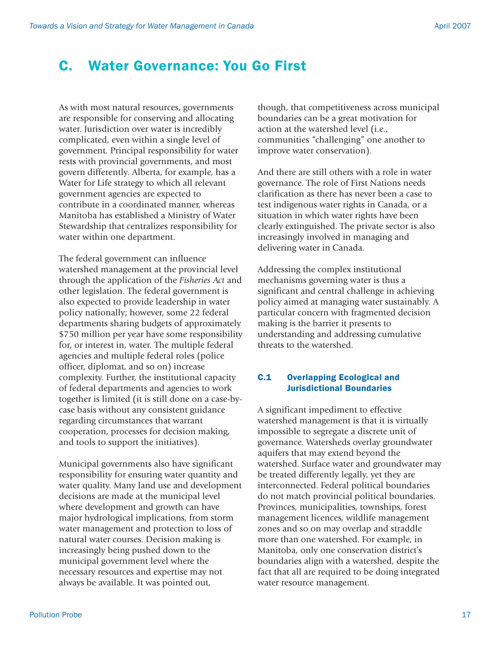## C. Water Governance: You Go First

As with most natural resources, governments are responsible for conserving and allocating water. Jurisdiction over water is incredibly complicated, even within a single level of government. Principal responsibility for water rests with provincial governments, and most govern differently. Alberta, for example, has a Water for Life strategy to which all relevant government agencies are expected to contribute in a coordinated manner, whereas Manitoba has established a Ministry of Water Stewardship that centralizes responsibility for water within one department.

The federal government can influence watershed management at the provincial level through the application of the *Fisheries Act* and other legislation. The federal government is also expected to provide leadership in water policy nationally; however, some 22 federal departments sharing budgets of approximately \$750 million per year have some responsibility for, or interest in, water. The multiple federal agencies and multiple federal roles (police officer, diplomat, and so on) increase complexity. Further, the institutional capacity of federal departments and agencies to work together is limited (it is still done on a case-bycase basis without any consistent guidance regarding circumstances that warrant cooperation, processes for decision making, and tools to support the initiatives).

Municipal governments also have significant responsibility for ensuring water quantity and water quality. Many land use and development decisions are made at the municipal level where development and growth can have major hydrological implications, from storm water management and protection to loss of natural water courses. Decision making is increasingly being pushed down to the municipal government level where the necessary resources and expertise may not always be available. It was pointed out,

though, that competitiveness across municipal boundaries can be a great motivation for action at the watershed level (i.e., communities "challenging" one another to improve water conservation).

And there are still others with a role in water governance. The role of First Nations needs clarification as there has never been a case to test indigenous water rights in Canada, or a situation in which water rights have been clearly extinguished. The private sector is also increasingly involved in managing and delivering water in Canada.

Addressing the complex institutional mechanisms governing water is thus a significant and central challenge in achieving policy aimed at managing water sustainably. A particular concern with fragmented decision making is the barrier it presents to understanding and addressing cumulative threats to the watershed.

### C.1 Overlapping Ecological and Jurisdictional Boundaries

A significant impediment to effective watershed management is that it is virtually impossible to segregate a discrete unit of governance. Watersheds overlay groundwater aquifers that may extend beyond the watershed. Surface water and groundwater may be treated differently legally, yet they are interconnected. Federal political boundaries do not match provincial political boundaries. Provinces, municipalities, townships, forest management licences, wildlife management zones and so on may overlap and straddle more than one watershed. For example, in Manitoba, only one conservation district's boundaries align with a watershed, despite the fact that all are required to be doing integrated water resource management.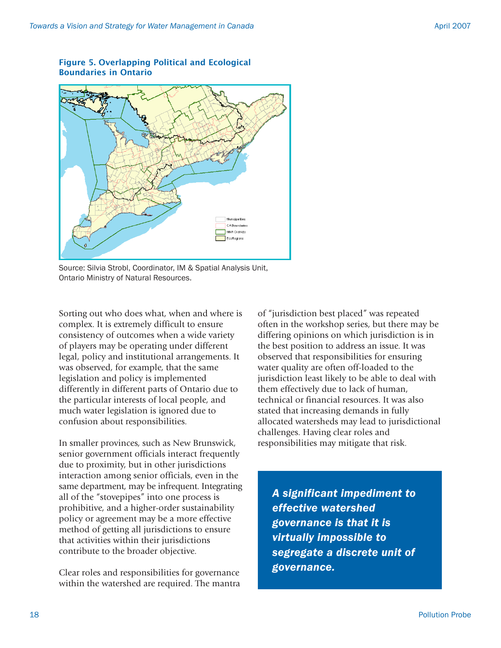

Figure 5. Overlapping Political and Ecological Boundaries in Ontario

Source: Silvia Strobl, Coordinator, IM & Spatial Analysis Unit, Ontario Ministry of Natural Resources.

Sorting out who does what, when and where is complex. It is extremely difficult to ensure consistency of outcomes when a wide variety of players may be operating under different legal, policy and institutional arrangements. It was observed, for example, that the same legislation and policy is implemented differently in different parts of Ontario due to the particular interests of local people, and much water legislation is ignored due to confusion about responsibilities.

In smaller provinces, such as New Brunswick, senior government officials interact frequently due to proximity, but in other jurisdictions interaction among senior officials, even in the same department, may be infrequent. Integrating all of the "stovepipes" into one process is prohibitive, and a higher-order sustainability policy or agreement may be a more effective method of getting all jurisdictions to ensure that activities within their jurisdictions contribute to the broader objective.

Clear roles and responsibilities for governance within the watershed are required. The mantra of "jurisdiction best placed" was repeated often in the workshop series, but there may be differing opinions on which jurisdiction is in the best position to address an issue. It was observed that responsibilities for ensuring water quality are often off-loaded to the jurisdiction least likely to be able to deal with them effectively due to lack of human, technical or financial resources. It was also stated that increasing demands in fully allocated watersheds may lead to jurisdictional challenges. Having clear roles and responsibilities may mitigate that risk.

*A significant impediment to effective watershed governance is that it is virtually impossible to segregate a discrete unit of governance.*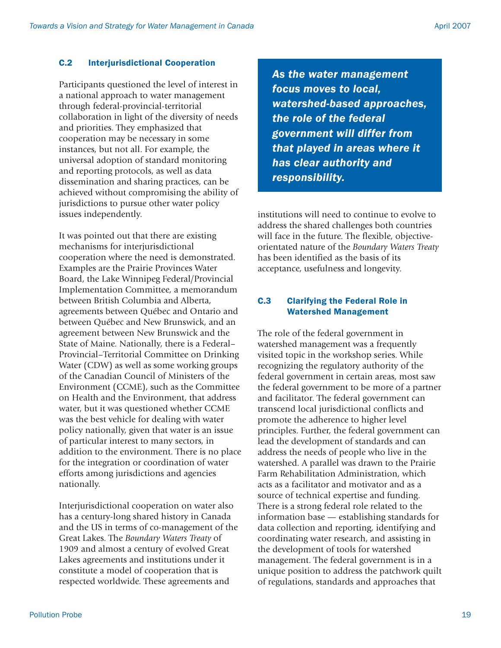## C.2 Interjurisdictional Cooperation

Participants questioned the level of interest in a national approach to water management through federal-provincial-territorial collaboration in light of the diversity of needs and priorities. They emphasized that cooperation may be necessary in some instances, but not all. For example, the universal adoption of standard monitoring and reporting protocols, as well as data dissemination and sharing practices, can be achieved without compromising the ability of jurisdictions to pursue other water policy issues independently.

It was pointed out that there are existing mechanisms for interiurisdictional cooperation where the need is demonstrated. Examples are the Prairie Provinces Water Board, the Lake Winnipeg Federal/Provincial Implementation Committee, a memorandum between British Columbia and Alberta, agreements between Québec and Ontario and between Québec and New Brunswick, and an agreement between New Brunswick and the State of Maine. Nationally, there is a Federal– Provincial–Territorial Committee on Drinking Water (CDW) as well as some working groups of the Canadian Council of Ministers of the Environment (CCME), such as the Committee on Health and the Environment, that address water, but it was questioned whether CCME was the best vehicle for dealing with water policy nationally, given that water is an issue of particular interest to many sectors, in addition to the environment. There is no place for the integration or coordination of water efforts among jurisdictions and agencies nationally.

Interjurisdictional cooperation on water also has a century-long shared history in Canada and the US in terms of co-management of the Great Lakes. The *Boundary Waters Treaty* of 1909 and almost a century of evolved Great Lakes agreements and institutions under it constitute a model of cooperation that is respected worldwide. These agreements and

*As the water management focus moves to local, watershed-based approaches, the role of the federal government will differ from that played in areas where it has clear authority and responsibility.*

institutions will need to continue to evolve to address the shared challenges both countries will face in the future. The flexible, objectiveorientated nature of the *Boundary Waters Treaty* has been identified as the basis of its acceptance, usefulness and longevity.

## C.3 Clarifying the Federal Role in Watershed Management

The role of the federal government in watershed management was a frequently visited topic in the workshop series. While recognizing the regulatory authority of the federal government in certain areas, most saw the federal government to be more of a partner and facilitator. The federal government can transcend local jurisdictional conflicts and promote the adherence to higher level principles. Further, the federal government can lead the development of standards and can address the needs of people who live in the watershed. A parallel was drawn to the Prairie Farm Rehabilitation Administration, which acts as a facilitator and motivator and as a source of technical expertise and funding. There is a strong federal role related to the information base — establishing standards for data collection and reporting, identifying and coordinating water research, and assisting in the development of tools for watershed management. The federal government is in a unique position to address the patchwork quilt of regulations, standards and approaches that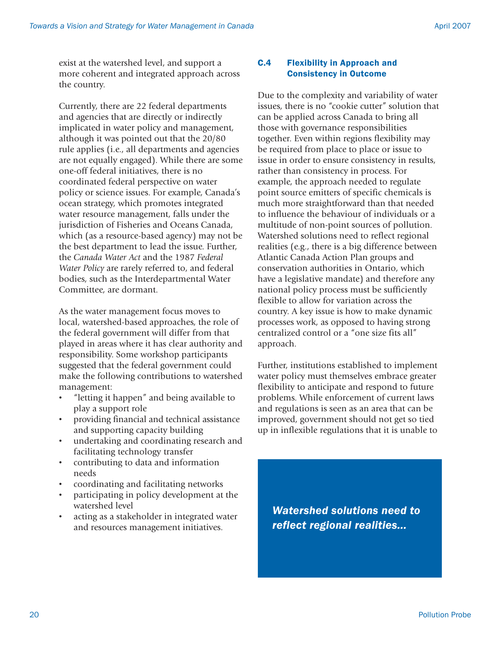exist at the watershed level, and support a more coherent and integrated approach across the country.

Currently, there are 22 federal departments and agencies that are directly or indirectly implicated in water policy and management, although it was pointed out that the 20/80 rule applies (i.e., all departments and agencies are not equally engaged). While there are some one-off federal initiatives, there is no coordinated federal perspective on water policy or science issues. For example, Canada's ocean strategy, which promotes integrated water resource management, falls under the jurisdiction of Fisheries and Oceans Canada, which (as a resource-based agency) may not be the best department to lead the issue. Further, the *Canada Water Act* and the 1987 *Federal Water Policy* are rarely referred to, and federal bodies, such as the Interdepartmental Water Committee, are dormant.

As the water management focus moves to local, watershed-based approaches, the role of the federal government will differ from that played in areas where it has clear authority and responsibility. Some workshop participants suggested that the federal government could make the following contributions to watershed management:

- "letting it happen" and being available to play a support role
- providing financial and technical assistance and supporting capacity building
- undertaking and coordinating research and facilitating technology transfer
- contributing to data and information needs
- coordinating and facilitating networks
- participating in policy development at the watershed level
- acting as a stakeholder in integrated water and resources management initiatives.

### C.4 Flexibility in Approach and Consistency in Outcome

Due to the complexity and variability of water issues, there is no "cookie cutter" solution that can be applied across Canada to bring all those with governance responsibilities together. Even within regions flexibility may be required from place to place or issue to issue in order to ensure consistency in results, rather than consistency in process. For example, the approach needed to regulate point source emitters of specific chemicals is much more straightforward than that needed to influence the behaviour of individuals or a multitude of non-point sources of pollution. Watershed solutions need to reflect regional realities (e.g., there is a big difference between Atlantic Canada Action Plan groups and conservation authorities in Ontario, which have a legislative mandate) and therefore any national policy process must be sufficiently flexible to allow for variation across the country. A key issue is how to make dynamic processes work, as opposed to having strong centralized control or a "one size fits all" approach.

Further, institutions established to implement water policy must themselves embrace greater flexibility to anticipate and respond to future problems. While enforcement of current laws and regulations is seen as an area that can be improved, government should not get so tied up in inflexible regulations that it is unable to

*Watershed solutions need to reflect regional realities...*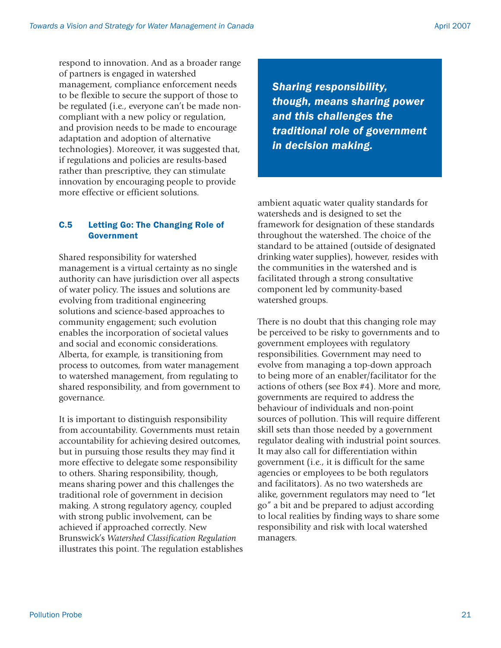respond to innovation. And as a broader range of partners is engaged in watershed management, compliance enforcement needs to be flexible to secure the support of those to be regulated (i.e., everyone can't be made noncompliant with a new policy or regulation, and provision needs to be made to encourage adaptation and adoption of alternative technologies). Moreover, it was suggested that, if regulations and policies are results-based rather than prescriptive, they can stimulate innovation by encouraging people to provide more effective or efficient solutions.

## C.5 Letting Go: The Changing Role of Government

Shared responsibility for watershed management is a virtual certainty as no single authority can have jurisdiction over all aspects of water policy. The issues and solutions are evolving from traditional engineering solutions and science-based approaches to community engagement; such evolution enables the incorporation of societal values and social and economic considerations. Alberta, for example, is transitioning from process to outcomes, from water management to watershed management, from regulating to shared responsibility, and from government to governance.

It is important to distinguish responsibility from accountability. Governments must retain accountability for achieving desired outcomes, but in pursuing those results they may find it more effective to delegate some responsibility to others. Sharing responsibility, though, means sharing power and this challenges the traditional role of government in decision making. A strong regulatory agency, coupled with strong public involvement, can be achieved if approached correctly. New Brunswick's *Watershed Classification Regulation* illustrates this point. The regulation establishes

*Sharing responsibility, though, means sharing power and this challenges the traditional role of government in decision making.*

ambient aquatic water quality standards for watersheds and is designed to set the framework for designation of these standards throughout the watershed. The choice of the standard to be attained (outside of designated drinking water supplies), however, resides with the communities in the watershed and is facilitated through a strong consultative component led by community-based watershed groups.

There is no doubt that this changing role may be perceived to be risky to governments and to government employees with regulatory responsibilities. Government may need to evolve from managing a top-down approach to being more of an enabler/facilitator for the actions of others (see Box #4). More and more, governments are required to address the behaviour of individuals and non-point sources of pollution. This will require different skill sets than those needed by a government regulator dealing with industrial point sources. It may also call for differentiation within government (i.e., it is difficult for the same agencies or employees to be both regulators and facilitators). As no two watersheds are alike, government regulators may need to "let go" a bit and be prepared to adjust according to local realities by finding ways to share some responsibility and risk with local watershed managers.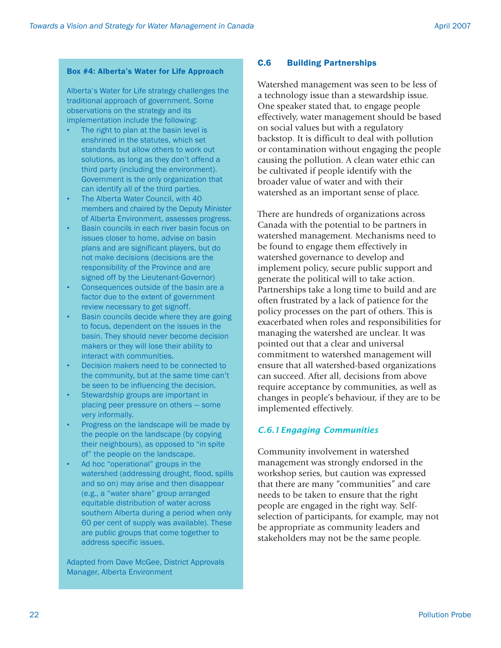### Box #4: Alberta's Water for Life Approach

Alberta's Water for Life strategy challenges the traditional approach of government. Some observations on the strategy and its implementation include the following:

- The right to plan at the basin level is enshrined in the statutes, which set standards but allow others to work out solutions, as long as they don't offend a third party (including the environment). Government is the only organization that can identify all of the third parties.
- The Alberta Water Council, with 40 members and chaired by the Deputy Minister of Alberta Environment, assesses progress.
- Basin councils in each river basin focus on issues closer to home, advise on basin plans and are significant players, but do not make decisions (decisions are the responsibility of the Province and are signed off by the Lieutenant-Governor)
- Consequences outside of the basin are a factor due to the extent of government review necessary to get signoff.
- Basin councils decide where they are going to focus, dependent on the issues in the basin. They should never become decision makers or they will lose their ability to interact with communities.
- Decision makers need to be connected to the community, but at the same time can't be seen to be influencing the decision.
- Stewardship groups are important in placing peer pressure on others — some very informally.
- Progress on the landscape will be made by the people on the landscape (by copying their neighbours), as opposed to "in spite of" the people on the landscape.
- Ad hoc "operational" groups in the watershed (addressing drought, flood, spills and so on) may arise and then disappear (e.g., a "water share" group arranged equitable distribution of water across southern Alberta during a period when only 60 per cent of supply was available). These are public groups that come together to address specific issues.

Adapted from Dave McGee, District Approvals Manager, Alberta Environment

## C.6 Building Partnerships

Watershed management was seen to be less of a technology issue than a stewardship issue. One speaker stated that, to engage people effectively, water management should be based on social values but with a regulatory backstop. It is difficult to deal with pollution or contamination without engaging the people causing the pollution. A clean water ethic can be cultivated if people identify with the broader value of water and with their watershed as an important sense of place.

There are hundreds of organizations across Canada with the potential to be partners in watershed management. Mechanisms need to be found to engage them effectively in watershed governance to develop and implement policy, secure public support and generate the political will to take action. Partnerships take a long time to build and are often frustrated by a lack of patience for the policy processes on the part of others. This is exacerbated when roles and responsibilities for managing the watershed are unclear. It was pointed out that a clear and universal commitment to watershed management will ensure that all watershed-based organizations can succeed. After all, decisions from above require acceptance by communities, as well as changes in people's behaviour, if they are to be implemented effectively.

## *C.6.1Engaging Communities*

Community involvement in watershed management was strongly endorsed in the workshop series, but caution was expressed that there are many "communities" and care needs to be taken to ensure that the right people are engaged in the right way. Selfselection of participants, for example, may not be appropriate as community leaders and stakeholders may not be the same people.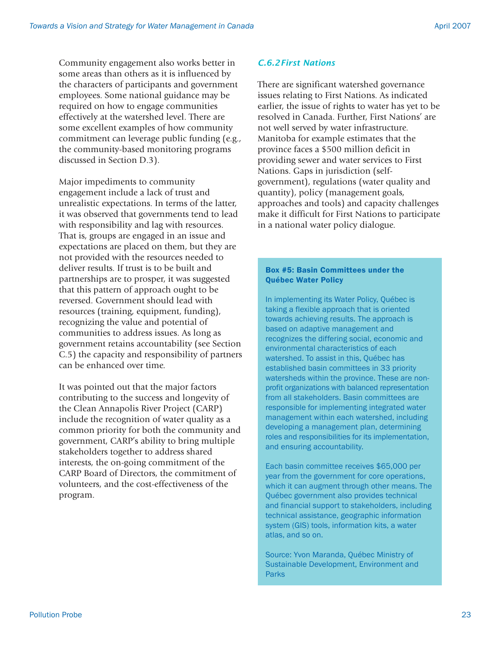Community engagement also works better in some areas than others as it is influenced by the characters of participants and government employees. Some national guidance may be required on how to engage communities effectively at the watershed level. There are some excellent examples of how community commitment can leverage public funding (e.g., the community-based monitoring programs discussed in Section D.3).

Major impediments to community engagement include a lack of trust and unrealistic expectations. In terms of the latter, it was observed that governments tend to lead with responsibility and lag with resources. That is, groups are engaged in an issue and expectations are placed on them, but they are not provided with the resources needed to deliver results. If trust is to be built and partnerships are to prosper, it was suggested that this pattern of approach ought to be reversed. Government should lead with resources (training, equipment, funding), recognizing the value and potential of communities to address issues. As long as government retains accountability (see Section C.5) the capacity and responsibility of partners can be enhanced over time.

It was pointed out that the major factors contributing to the success and longevity of the Clean Annapolis River Project (CARP) include the recognition of water quality as a common priority for both the community and government, CARP's ability to bring multiple stakeholders together to address shared interests, the on-going commitment of the CARP Board of Directors, the commitment of volunteers, and the cost-effectiveness of the program.

#### *C.6.2First Nations*

There are significant watershed governance issues relating to First Nations. As indicated earlier, the issue of rights to water has yet to be resolved in Canada. Further, First Nations' are not well served by water infrastructure. Manitoba for example estimates that the province faces a \$500 million deficit in providing sewer and water services to First Nations. Gaps in jurisdiction (selfgovernment), regulations (water quality and quantity), policy (management goals, approaches and tools) and capacity challenges make it difficult for First Nations to participate in a national water policy dialogue.

#### Box #5: Basin Committees under the Québec Water Policy

In implementing its Water Policy, Québec is taking a flexible approach that is oriented towards achieving results. The approach is based on adaptive management and recognizes the differing social, economic and environmental characteristics of each watershed. To assist in this, Québec has established basin committees in 33 priority watersheds within the province. These are nonprofit organizations with balanced representation from all stakeholders. Basin committees are responsible for implementing integrated water management within each watershed, including developing a management plan, determining roles and responsibilities for its implementation, and ensuring accountability.

Each basin committee receives \$65,000 per year from the government for core operations, which it can augment through other means. The Québec government also provides technical and financial support to stakeholders, including technical assistance, geographic information system (GIS) tools, information kits, a water atlas, and so on.

Source: Yvon Maranda, Québec Ministry of Sustainable Development, Environment and **Parks**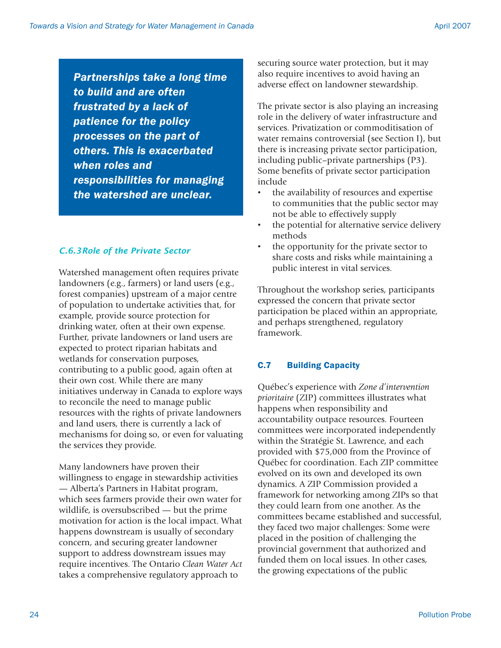*Partnerships take a long time to build and are often frustrated by a lack of patience for the policy processes on the part of others. This is exacerbated when roles and responsibilities for managing the watershed are unclear.*

## *C.6.3Role of the Private Sector*

Watershed management often requires private landowners (e.g., farmers) or land users (e.g., forest companies) upstream of a major centre of population to undertake activities that, for example, provide source protection for drinking water, often at their own expense. Further, private landowners or land users are expected to protect riparian habitats and wetlands for conservation purposes, contributing to a public good, again often at their own cost. While there are many initiatives underway in Canada to explore ways to reconcile the need to manage public resources with the rights of private landowners and land users, there is currently a lack of mechanisms for doing so, or even for valuating the services they provide.

Many landowners have proven their willingness to engage in stewardship activities — Alberta's Partners in Habitat program, which sees farmers provide their own water for wildlife, is oversubscribed — but the prime motivation for action is the local impact. What happens downstream is usually of secondary concern, and securing greater landowner support to address downstream issues may require incentives. The Ontario *Clean Water Act* takes a comprehensive regulatory approach to

securing source water protection, but it may also require incentives to avoid having an adverse effect on landowner stewardship.

The private sector is also playing an increasing role in the delivery of water infrastructure and services. Privatization or commoditisation of water remains controversial (see Section I), but there is increasing private sector participation, including public–private partnerships (P3). Some benefits of private sector participation include

- the availability of resources and expertise to communities that the public sector may not be able to effectively supply
- the potential for alternative service delivery methods
- the opportunity for the private sector to share costs and risks while maintaining a public interest in vital services.

Throughout the workshop series, participants expressed the concern that private sector participation be placed within an appropriate, and perhaps strengthened, regulatory framework.

## C.7 Building Capacity

Québec's experience with *Zone d'intervention prioritaire* (ZIP) committees illustrates what happens when responsibility and accountability outpace resources. Fourteen committees were incorporated independently within the Stratégie St. Lawrence, and each provided with \$75,000 from the Province of Québec for coordination. Each ZIP committee evolved on its own and developed its own dynamics. A ZIP Commission provided a framework for networking among ZIPs so that they could learn from one another. As the committees became established and successful, they faced two major challenges: Some were placed in the position of challenging the provincial government that authorized and funded them on local issues. In other cases, the growing expectations of the public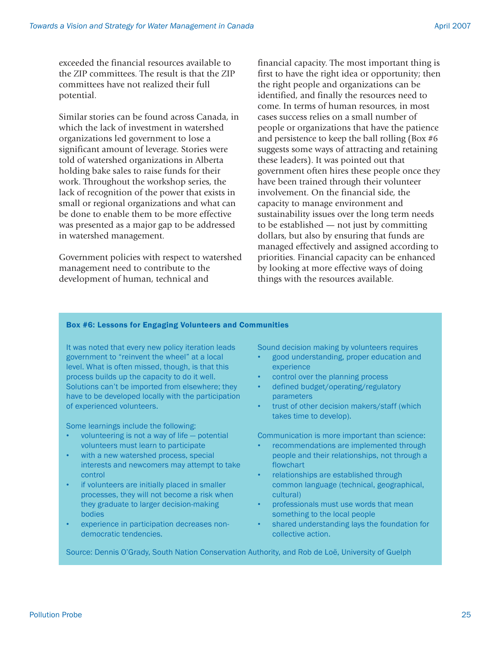exceeded the financial resources available to the ZIP committees. The result is that the ZIP committees have not realized their full potential.

Similar stories can be found across Canada, in which the lack of investment in watershed organizations led government to lose a significant amount of leverage. Stories were told of watershed organizations in Alberta holding bake sales to raise funds for their work. Throughout the workshop series, the lack of recognition of the power that exists in small or regional organizations and what can be done to enable them to be more effective was presented as a major gap to be addressed in watershed management.

Government policies with respect to watershed management need to contribute to the development of human, technical and

financial capacity. The most important thing is first to have the right idea or opportunity; then the right people and organizations can be identified, and finally the resources need to come. In terms of human resources, in most cases success relies on a small number of people or organizations that have the patience and persistence to keep the ball rolling (Box #6 suggests some ways of attracting and retaining these leaders). It was pointed out that government often hires these people once they have been trained through their volunteer involvement. On the financial side, the capacity to manage environment and sustainability issues over the long term needs to be established — not just by committing dollars, but also by ensuring that funds are managed effectively and assigned according to priorities. Financial capacity can be enhanced by looking at more effective ways of doing things with the resources available.

### Box #6: Lessons for Engaging Volunteers and Communities

It was noted that every new policy iteration leads government to "reinvent the wheel" at a local level. What is often missed, though, is that this process builds up the capacity to do it well. Solutions can't be imported from elsewhere; they have to be developed locally with the participation of experienced volunteers.

Some learnings include the following:

- volunteering is not a way of life potential volunteers must learn to participate
- with a new watershed process, special interests and newcomers may attempt to take control
- if volunteers are initially placed in smaller processes, they will not become a risk when they graduate to larger decision-making bodies
- experience in participation decreases nondemocratic tendencies.

Sound decision making by volunteers requires

- good understanding, proper education and experience
- control over the planning process
- defined budget/operating/regulatory parameters
- trust of other decision makers/staff (which takes time to develop).

Communication is more important than science:

- recommendations are implemented through people and their relationships, not through a flowchart
- relationships are established through common language (technical, geographical, cultural)
- professionals must use words that mean something to the local people
- shared understanding lays the foundation for collective action.

Source: Dennis O'Grady, South Nation Conservation Authority, and Rob de Loë, University of Guelph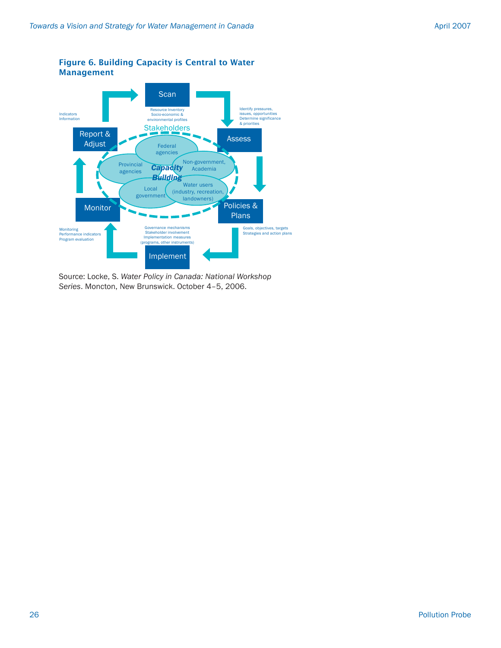



Source: Locke, S. *Water Policy in Canada: National Workshop Series*. Moncton, New Brunswick. October 4–5, 2006.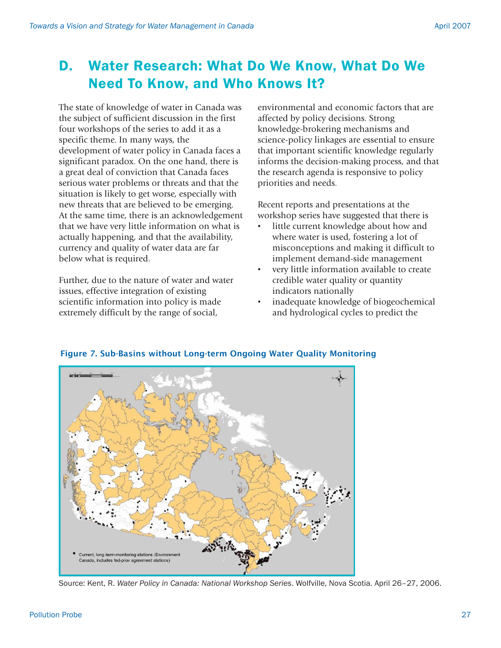## D. Water Research: What Do We Know, What Do We Need To Know, and Who Knows It?

The state of knowledge of water in Canada was the subject of sufficient discussion in the first four workshops of the series to add it as a specific theme. In many ways, the development of water policy in Canada faces a significant paradox. On the one hand, there is a great deal of conviction that Canada faces serious water problems or threats and that the situation is likely to get worse, especially with new threats that are believed to be emerging. At the same time, there is an acknowledgement that we have very little information on what is actually happening, and that the availability, currency and quality of water data are far below what is required.

Further, due to the nature of water and water issues, effective integration of existing scientific information into policy is made extremely difficult by the range of social,

environmental and economic factors that are affected by policy decisions. Strong knowledge-brokering mechanisms and science-policy linkages are essential to ensure that important scientific knowledge regularly informs the decision-making process, and that the research agenda is responsive to policy priorities and needs.

Recent reports and presentations at the workshop series have suggested that there is

- little current knowledge about how and where water is used, fostering a lot of misconceptions and making it difficult to implement demand-side management
- very little information available to create credible water quality or quantity indicators nationally
- inadequate knowledge of biogeochemical and hydrological cycles to predict the



## Figure 7. Sub-Basins without Long-term Ongoing Water Quality Monitoring

Source: Kent, R. *Water Policy in Canada: National Workshop Series*. Wolfville, Nova Scotia. April 26–27, 2006.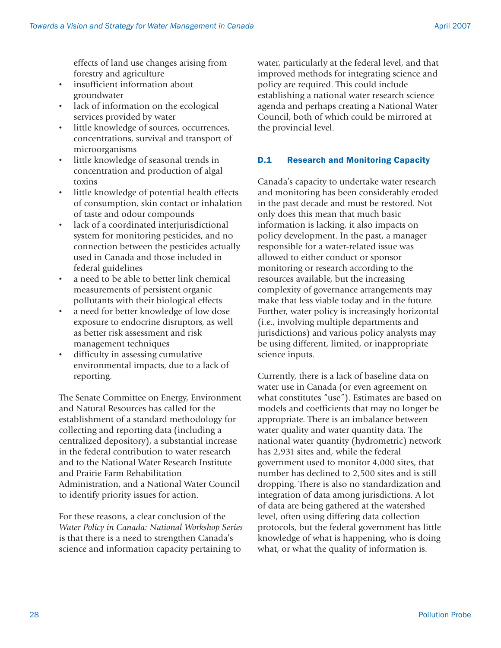effects of land use changes arising from forestry and agriculture

- insufficient information about groundwater
- lack of information on the ecological services provided by water
- little knowledge of sources, occurrences, concentrations, survival and transport of microorganisms
- little knowledge of seasonal trends in concentration and production of algal toxins
- little knowledge of potential health effects of consumption, skin contact or inhalation of taste and odour compounds
- lack of a coordinated interjurisdictional system for monitoring pesticides, and no connection between the pesticides actually used in Canada and those included in federal guidelines
- a need to be able to better link chemical measurements of persistent organic pollutants with their biological effects
- a need for better knowledge of low dose exposure to endocrine disruptors, as well as better risk assessment and risk management techniques
- difficulty in assessing cumulative environmental impacts, due to a lack of reporting.

The Senate Committee on Energy, Environment and Natural Resources has called for the establishment of a standard methodology for collecting and reporting data (including a centralized depository), a substantial increase in the federal contribution to water research and to the National Water Research Institute and Prairie Farm Rehabilitation Administration, and a National Water Council to identify priority issues for action.

For these reasons, a clear conclusion of the *Water Policy in Canada: National Workshop Series* is that there is a need to strengthen Canada's science and information capacity pertaining to

water, particularly at the federal level, and that improved methods for integrating science and policy are required. This could include establishing a national water research science agenda and perhaps creating a National Water Council, both of which could be mirrored at the provincial level.

## D.1 Research and Monitoring Capacity

Canada's capacity to undertake water research and monitoring has been considerably eroded in the past decade and must be restored. Not only does this mean that much basic information is lacking, it also impacts on policy development. In the past, a manager responsible for a water-related issue was allowed to either conduct or sponsor monitoring or research according to the resources available, but the increasing complexity of governance arrangements may make that less viable today and in the future. Further, water policy is increasingly horizontal (i.e., involving multiple departments and jurisdictions) and various policy analysts may be using different, limited, or inappropriate science inputs.

Currently, there is a lack of baseline data on water use in Canada (or even agreement on what constitutes "use"). Estimates are based on models and coefficients that may no longer be appropriate. There is an imbalance between water quality and water quantity data. The national water quantity (hydrometric) network has 2,931 sites and, while the federal government used to monitor 4,000 sites, that number has declined to 2,500 sites and is still dropping. There is also no standardization and integration of data among jurisdictions. A lot of data are being gathered at the watershed level, often using differing data collection protocols, but the federal government has little knowledge of what is happening, who is doing what, or what the quality of information is.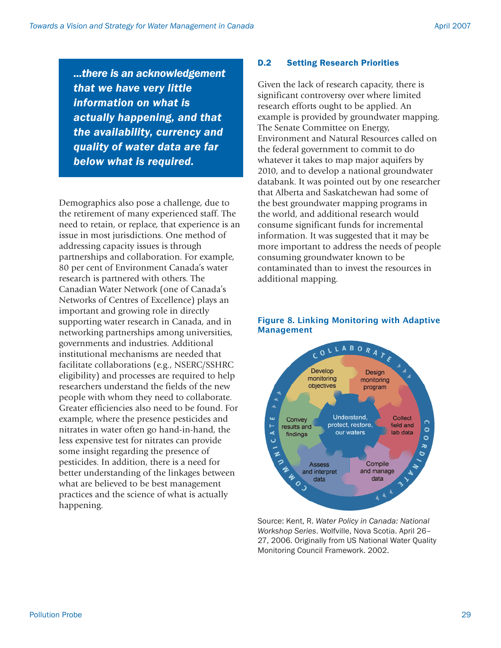*...there is an acknowledgement that we have very little information on what is actually happening, and that the availability, currency and quality of water data are far below what is required.*

Demographics also pose a challenge, due to the retirement of many experienced staff. The need to retain, or replace, that experience is an issue in most jurisdictions. One method of addressing capacity issues is through partnerships and collaboration. For example, 80 per cent of Environment Canada's water research is partnered with others. The Canadian Water Network (one of Canada's Networks of Centres of Excellence) plays an important and growing role in directly supporting water research in Canada, and in networking partnerships among universities, governments and industries. Additional institutional mechanisms are needed that facilitate collaborations (e.g., NSERC/SSHRC eligibility) and processes are required to help researchers understand the fields of the new people with whom they need to collaborate. Greater efficiencies also need to be found. For example, where the presence pesticides and nitrates in water often go hand-in-hand, the less expensive test for nitrates can provide some insight regarding the presence of pesticides. In addition, there is a need for better understanding of the linkages between what are believed to be best management practices and the science of what is actually happening.

#### D.2 Setting Research Priorities

Given the lack of research capacity, there is significant controversy over where limited research efforts ought to be applied. An example is provided by groundwater mapping. The Senate Committee on Energy, Environment and Natural Resources called on the federal government to commit to do whatever it takes to map major aquifers by 2010, and to develop a national groundwater databank. It was pointed out by one researcher that Alberta and Saskatchewan had some of the best groundwater mapping programs in the world, and additional research would consume significant funds for incremental information. It was suggested that it may be more important to address the needs of people consuming groundwater known to be contaminated than to invest the resources in additional mapping.



### Figure 8. Linking Monitoring with Adaptive Management

Source: Kent, R. *Water Policy in Canada: National Workshop Series*. Wolfville, Nova Scotia. April 26– 27, 2006. Originally from US National Water Quality Monitoring Council Framework. 2002.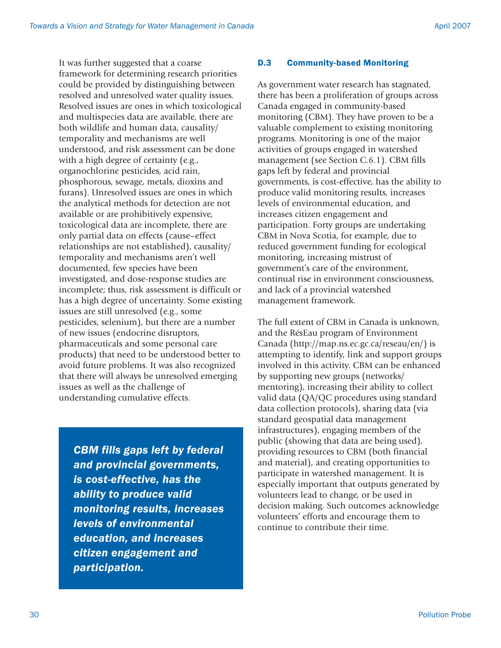It was further suggested that a coarse framework for determining research priorities could be provided by distinguishing between resolved and unresolved water quality issues. Resolved issues are ones in which toxicological and multispecies data are available, there are both wildlife and human data, causality/ temporality and mechanisms are well understood, and risk assessment can be done with a high degree of certainty (e.g., organochlorine pesticides, acid rain, phosphorous, sewage, metals, dioxins and furans). Unresolved issues are ones in which the analytical methods for detection are not available or are prohibitively expensive, toxicological data are incomplete, there are only partial data on effects (cause–effect relationships are not established), causality/ temporality and mechanisms aren't well documented, few species have been investigated, and dose-response studies are incomplete; thus, risk assessment is difficult or has a high degree of uncertainty. Some existing issues are still unresolved (e.g., some pesticides, selenium), but there are a number of new issues (endocrine disruptors, pharmaceuticals and some personal care products) that need to be understood better to avoid future problems. It was also recognized that there will always be unresolved emerging issues as well as the challenge of understanding cumulative effects.

*CBM fills gaps left by federal and provincial governments, is cost-effective, has the ability to produce valid monitoring results, increases levels of environmental education, and increases citizen engagement and participation.*

## D.3 Community-based Monitoring

As government water research has stagnated, there has been a proliferation of groups across Canada engaged in community-based monitoring (CBM). They have proven to be a valuable complement to existing monitoring programs. Monitoring is one of the major activities of groups engaged in watershed management (see Section C.6.1). CBM fills gaps left by federal and provincial governments, is cost-effective, has the ability to produce valid monitoring results, increases levels of environmental education, and increases citizen engagement and participation. Forty groups are undertaking CBM in Nova Scotia, for example, due to reduced government funding for ecological monitoring, increasing mistrust of government's care of the environment, continual rise in environment consciousness, and lack of a provincial watershed management framework.

The full extent of CBM in Canada is unknown, and the RésEau program of Environment Canada (http://map.ns.ec.gc.ca/reseau/en/) is attempting to identify, link and support groups involved in this activity. CBM can be enhanced by supporting new groups (networks/ mentoring), increasing their ability to collect valid data (QA/QC procedures using standard data collection protocols), sharing data (via standard geospatial data management infrastructures), engaging members of the public (showing that data are being used), providing resources to CBM (both financial and material), and creating opportunities to participate in watershed management. It is especially important that outputs generated by volunteers lead to change, or be used in decision making. Such outcomes acknowledge volunteers' efforts and encourage them to continue to contribute their time.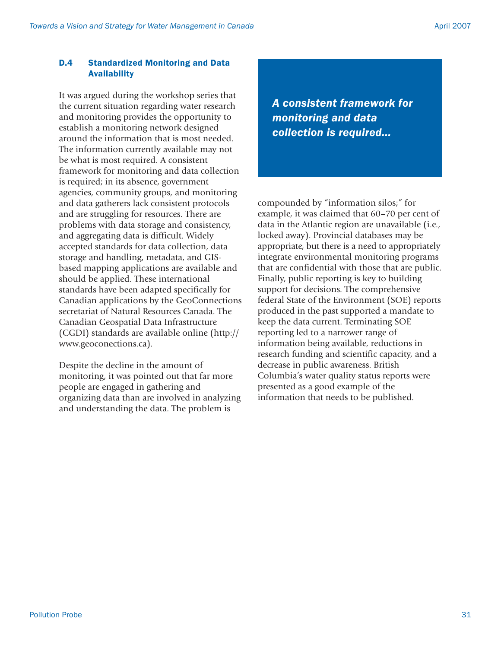## D.4 Standardized Monitoring and Data Availability

It was argued during the workshop series that the current situation regarding water research and monitoring provides the opportunity to establish a monitoring network designed around the information that is most needed. The information currently available may not be what is most required. A consistent framework for monitoring and data collection is required; in its absence, government agencies, community groups, and monitoring and data gatherers lack consistent protocols and are struggling for resources. There are problems with data storage and consistency, and aggregating data is difficult. Widely accepted standards for data collection, data storage and handling, metadata, and GISbased mapping applications are available and should be applied. These international standards have been adapted specifically for Canadian applications by the GeoConnections secretariat of Natural Resources Canada. The Canadian Geospatial Data Infrastructure (CGDI) standards are available online (http:// www.geoconections.ca).

Despite the decline in the amount of monitoring, it was pointed out that far more people are engaged in gathering and organizing data than are involved in analyzing and understanding the data. The problem is

*A consistent framework for monitoring and data collection is required...*

compounded by "information silos;" for example, it was claimed that 60–70 per cent of data in the Atlantic region are unavailable (i.e., locked away). Provincial databases may be appropriate, but there is a need to appropriately integrate environmental monitoring programs that are confidential with those that are public. Finally, public reporting is key to building support for decisions. The comprehensive federal State of the Environment (SOE) reports produced in the past supported a mandate to keep the data current. Terminating SOE reporting led to a narrower range of information being available, reductions in research funding and scientific capacity, and a decrease in public awareness. British Columbia's water quality status reports were presented as a good example of the information that needs to be published.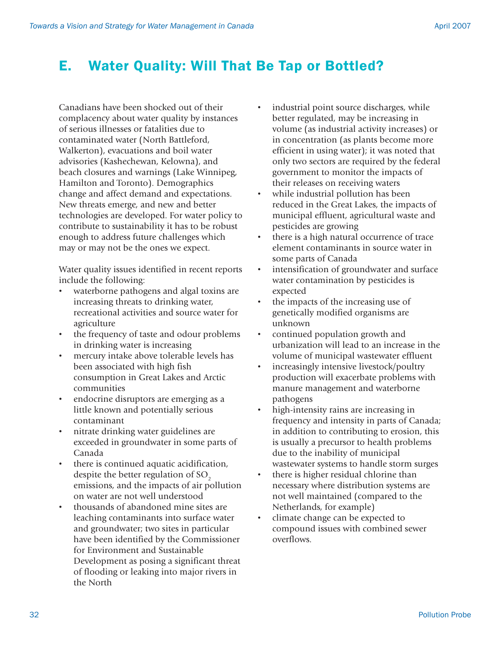## E. Water Quality: Will That Be Tap or Bottled?

Canadians have been shocked out of their complacency about water quality by instances of serious illnesses or fatalities due to contaminated water (North Battleford, Walkerton), evacuations and boil water advisories (Kashechewan, Kelowna), and beach closures and warnings (Lake Winnipeg, Hamilton and Toronto). Demographics change and affect demand and expectations. New threats emerge, and new and better technologies are developed. For water policy to contribute to sustainability it has to be robust enough to address future challenges which may or may not be the ones we expect.

Water quality issues identified in recent reports include the following:

- waterborne pathogens and algal toxins are increasing threats to drinking water, recreational activities and source water for agriculture
- the frequency of taste and odour problems in drinking water is increasing
- mercury intake above tolerable levels has been associated with high fish consumption in Great Lakes and Arctic communities
- endocrine disruptors are emerging as a little known and potentially serious contaminant
- nitrate drinking water guidelines are exceeded in groundwater in some parts of Canada
- there is continued aquatic acidification, despite the better regulation of  $SO<sub>2</sub>$ emissions, and the impacts of air pollution on water are not well understood
- thousands of abandoned mine sites are leaching contaminants into surface water and groundwater; two sites in particular have been identified by the Commissioner for Environment and Sustainable Development as posing a significant threat of flooding or leaking into major rivers in the North
- industrial point source discharges, while better regulated, may be increasing in volume (as industrial activity increases) or in concentration (as plants become more efficient in using water); it was noted that only two sectors are required by the federal government to monitor the impacts of their releases on receiving waters
- while industrial pollution has been reduced in the Great Lakes, the impacts of municipal effluent, agricultural waste and pesticides are growing
- there is a high natural occurrence of trace element contaminants in source water in some parts of Canada
- intensification of groundwater and surface water contamination by pesticides is expected
- the impacts of the increasing use of genetically modified organisms are unknown
- continued population growth and urbanization will lead to an increase in the volume of municipal wastewater effluent
- increasingly intensive livestock/poultry production will exacerbate problems with manure management and waterborne pathogens
- high-intensity rains are increasing in frequency and intensity in parts of Canada; in addition to contributing to erosion, this is usually a precursor to health problems due to the inability of municipal wastewater systems to handle storm surges
- there is higher residual chlorine than necessary where distribution systems are not well maintained (compared to the Netherlands, for example)
- climate change can be expected to compound issues with combined sewer overflows.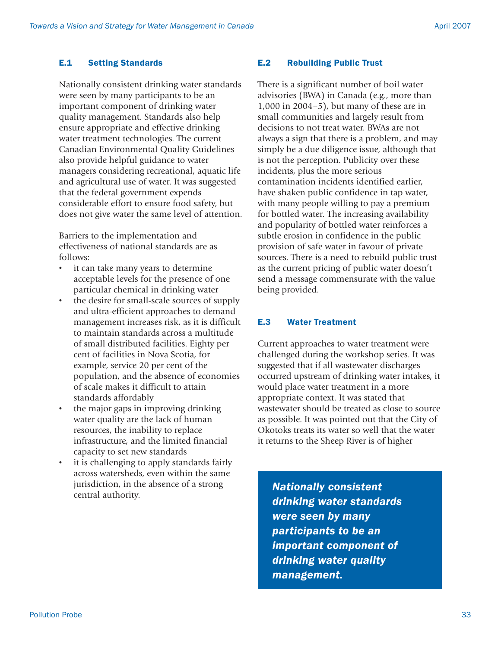## E.1 Setting Standards

Nationally consistent drinking water standards were seen by many participants to be an important component of drinking water quality management. Standards also help ensure appropriate and effective drinking water treatment technologies. The current Canadian Environmental Quality Guidelines also provide helpful guidance to water managers considering recreational, aquatic life and agricultural use of water. It was suggested that the federal government expends considerable effort to ensure food safety, but does not give water the same level of attention.

Barriers to the implementation and effectiveness of national standards are as follows:

- it can take many years to determine acceptable levels for the presence of one particular chemical in drinking water
- the desire for small-scale sources of supply and ultra-efficient approaches to demand management increases risk, as it is difficult to maintain standards across a multitude of small distributed facilities. Eighty per cent of facilities in Nova Scotia, for example, service 20 per cent of the population, and the absence of economies of scale makes it difficult to attain standards affordably
- the major gaps in improving drinking water quality are the lack of human resources, the inability to replace infrastructure, and the limited financial capacity to set new standards
- it is challenging to apply standards fairly across watersheds, even within the same jurisdiction, in the absence of a strong central authority.

## E.2 Rebuilding Public Trust

There is a significant number of boil water advisories (BWA) in Canada (e.g., more than 1,000 in 2004–5), but many of these are in small communities and largely result from decisions to not treat water. BWAs are not always a sign that there is a problem, and may simply be a due diligence issue, although that is not the perception. Publicity over these incidents, plus the more serious contamination incidents identified earlier, have shaken public confidence in tap water, with many people willing to pay a premium for bottled water. The increasing availability and popularity of bottled water reinforces a subtle erosion in confidence in the public provision of safe water in favour of private sources. There is a need to rebuild public trust as the current pricing of public water doesn't send a message commensurate with the value being provided.

## E.3 Water Treatment

Current approaches to water treatment were challenged during the workshop series. It was suggested that if all wastewater discharges occurred upstream of drinking water intakes, it would place water treatment in a more appropriate context. It was stated that wastewater should be treated as close to source as possible. It was pointed out that the City of Okotoks treats its water so well that the water it returns to the Sheep River is of higher

*Nationally consistent drinking water standards were seen by many participants to be an important component of drinking water quality management.*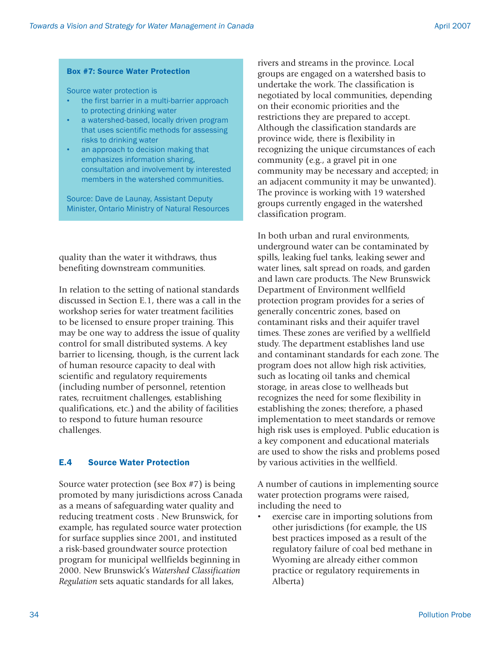### Box #7: Source Water Protection

Source water protection is

- the first barrier in a multi-barrier approach to protecting drinking water
- a watershed-based, locally driven program that uses scientific methods for assessing risks to drinking water
- an approach to decision making that emphasizes information sharing, consultation and involvement by interested members in the watershed communities.

Source: Dave de Launay, Assistant Deputy Minister, Ontario Ministry of Natural Resources

quality than the water it withdraws, thus benefiting downstream communities.

In relation to the setting of national standards discussed in Section E.1, there was a call in the workshop series for water treatment facilities to be licensed to ensure proper training. This may be one way to address the issue of quality control for small distributed systems. A key barrier to licensing, though, is the current lack of human resource capacity to deal with scientific and regulatory requirements (including number of personnel, retention rates, recruitment challenges, establishing qualifications, etc.) and the ability of facilities to respond to future human resource challenges.

## E.4 Source Water Protection

Source water protection (see Box #7) is being promoted by many jurisdictions across Canada as a means of safeguarding water quality and reducing treatment costs . New Brunswick, for example, has regulated source water protection for surface supplies since 2001, and instituted a risk-based groundwater source protection program for municipal wellfields beginning in 2000. New Brunswick's *Watershed Classification Regulation* sets aquatic standards for all lakes,

rivers and streams in the province. Local groups are engaged on a watershed basis to undertake the work. The classification is negotiated by local communities, depending on their economic priorities and the restrictions they are prepared to accept. Although the classification standards are province wide, there is flexibility in recognizing the unique circumstances of each community (e.g., a gravel pit in one community may be necessary and accepted; in an adjacent community it may be unwanted). The province is working with 19 watershed groups currently engaged in the watershed classification program.

In both urban and rural environments, underground water can be contaminated by spills, leaking fuel tanks, leaking sewer and water lines, salt spread on roads, and garden and lawn care products. The New Brunswick Department of Environment wellfield protection program provides for a series of generally concentric zones, based on contaminant risks and their aquifer travel times. These zones are verified by a wellfield study. The department establishes land use and contaminant standards for each zone. The program does not allow high risk activities, such as locating oil tanks and chemical storage, in areas close to wellheads but recognizes the need for some flexibility in establishing the zones; therefore, a phased implementation to meet standards or remove high risk uses is employed. Public education is a key component and educational materials are used to show the risks and problems posed by various activities in the wellfield.

A number of cautions in implementing source water protection programs were raised, including the need to

exercise care in importing solutions from other jurisdictions (for example, the US best practices imposed as a result of the regulatory failure of coal bed methane in Wyoming are already either common practice or regulatory requirements in Alberta)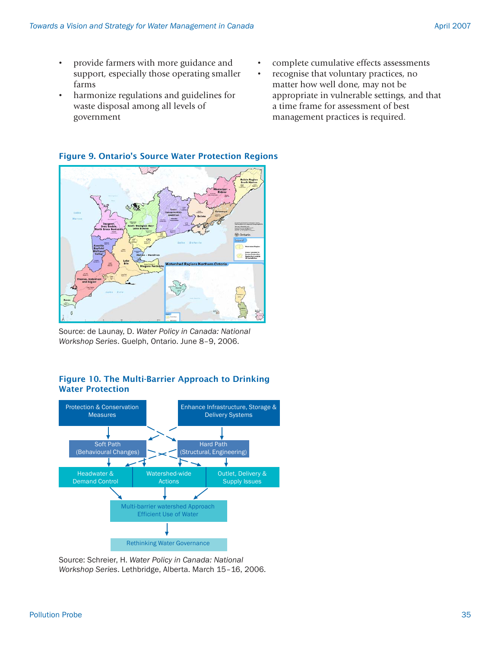- provide farmers with more guidance and support, especially those operating smaller farms
- harmonize regulations and guidelines for waste disposal among all levels of government
- complete cumulative effects assessments
- recognise that voluntary practices, no matter how well done, may not be appropriate in vulnerable settings, and that a time frame for assessment of best management practices is required.



Figure 9. Ontario's Source Water Protection Regions

Source: de Launay, D. *Water Policy in Canada: National Workshop Series*. Guelph, Ontario. June 8–9, 2006.

### Figure 10. The Multi-Barrier Approach to Drinking Water Protection



Source: Schreier, H. *Water Policy in Canada: National Workshop Series*. Lethbridge, Alberta. March 15–16, 2006.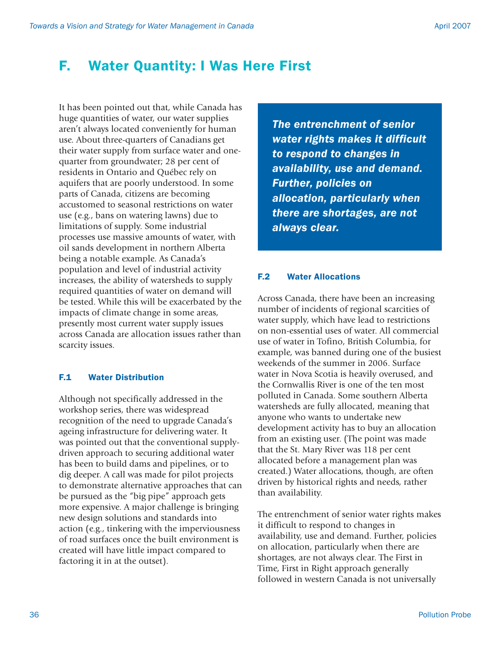## F. Water Quantity: I Was Here First

It has been pointed out that, while Canada has huge quantities of water, our water supplies aren't always located conveniently for human use. About three-quarters of Canadians get their water supply from surface water and onequarter from groundwater; 28 per cent of residents in Ontario and Québec rely on aquifers that are poorly understood. In some parts of Canada, citizens are becoming accustomed to seasonal restrictions on water use (e.g., bans on watering lawns) due to limitations of supply. Some industrial processes use massive amounts of water, with oil sands development in northern Alberta being a notable example. As Canada's population and level of industrial activity increases, the ability of watersheds to supply required quantities of water on demand will be tested. While this will be exacerbated by the impacts of climate change in some areas, presently most current water supply issues across Canada are allocation issues rather than scarcity issues.

#### F.1 Water Distribution

Although not specifically addressed in the workshop series, there was widespread recognition of the need to upgrade Canada's ageing infrastructure for delivering water. It was pointed out that the conventional supplydriven approach to securing additional water has been to build dams and pipelines, or to dig deeper. A call was made for pilot projects to demonstrate alternative approaches that can be pursued as the "big pipe" approach gets more expensive. A major challenge is bringing new design solutions and standards into action (e.g., tinkering with the imperviousness of road surfaces once the built environment is created will have little impact compared to factoring it in at the outset).

*The entrenchment of senior water rights makes it difficult to respond to changes in availability, use and demand. Further, policies on allocation, particularly when there are shortages, are not always clear.*

#### F.2 Water Allocations

Across Canada, there have been an increasing number of incidents of regional scarcities of water supply, which have lead to restrictions on non-essential uses of water. All commercial use of water in Tofino, British Columbia, for example, was banned during one of the busiest weekends of the summer in 2006. Surface water in Nova Scotia is heavily overused, and the Cornwallis River is one of the ten most polluted in Canada. Some southern Alberta watersheds are fully allocated, meaning that anyone who wants to undertake new development activity has to buy an allocation from an existing user. (The point was made that the St. Mary River was 118 per cent allocated before a management plan was created.) Water allocations, though, are often driven by historical rights and needs, rather than availability.

The entrenchment of senior water rights makes it difficult to respond to changes in availability, use and demand. Further, policies on allocation, particularly when there are shortages, are not always clear. The First in Time, First in Right approach generally followed in western Canada is not universally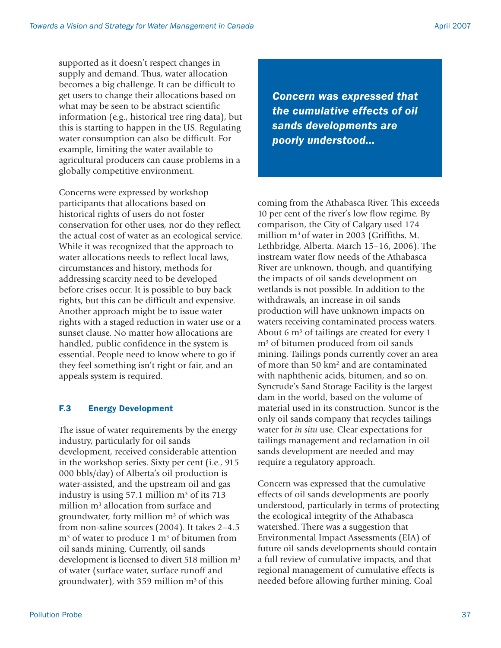supported as it doesn't respect changes in supply and demand. Thus, water allocation becomes a big challenge. It can be difficult to get users to change their allocations based on what may be seen to be abstract scientific information (e.g., historical tree ring data), but this is starting to happen in the US. Regulating water consumption can also be difficult. For example, limiting the water available to agricultural producers can cause problems in a globally competitive environment.

Concerns were expressed by workshop participants that allocations based on historical rights of users do not foster conservation for other uses, nor do they reflect the actual cost of water as an ecological service. While it was recognized that the approach to water allocations needs to reflect local laws, circumstances and history, methods for addressing scarcity need to be developed before crises occur. It is possible to buy back rights, but this can be difficult and expensive. Another approach might be to issue water rights with a staged reduction in water use or a sunset clause. No matter how allocations are handled, public confidence in the system is essential. People need to know where to go if they feel something isn't right or fair, and an appeals system is required.

## F.3 Energy Development

The issue of water requirements by the energy industry, particularly for oil sands development, received considerable attention in the workshop series. Sixty per cent (i.e., 915 000 bbls/day) of Alberta's oil production is water-assisted, and the upstream oil and gas industry is using 57.1 million m<sup>3</sup> of its 713 million m<sup>3</sup> allocation from surface and groundwater, forty million m<sup>3</sup> of which was from non-saline sources (2004). It takes 2–4.5 m<sup>3</sup> of water to produce 1 m<sup>3</sup> of bitumen from oil sands mining. Currently, oil sands development is licensed to divert 518 million m<sup>3</sup> of water (surface water, surface runoff and groundwater), with 359 million  $m<sup>3</sup>$  of this

*Concern was expressed that the cumulative effects of oil sands developments are poorly understood...*

coming from the Athabasca River. This exceeds 10 per cent of the river's low flow regime. By comparison, the City of Calgary used 174 million m<sup>3</sup> of water in 2003 (Griffiths, M. Lethbridge, Alberta. March 15–16, 2006). The instream water flow needs of the Athabasca River are unknown, though, and quantifying the impacts of oil sands development on wetlands is not possible. In addition to the withdrawals, an increase in oil sands production will have unknown impacts on waters receiving contaminated process waters. About 6  $\mathrm{m}^3$  of tailings are created for every 1 m3 of bitumen produced from oil sands mining. Tailings ponds currently cover an area of more than 50 km2 and are contaminated with naphthenic acids, bitumen, and so on. Syncrude's Sand Storage Facility is the largest dam in the world, based on the volume of material used in its construction. Suncor is the only oil sands company that recycles tailings water for *in situ* use. Clear expectations for tailings management and reclamation in oil sands development are needed and may require a regulatory approach.

Concern was expressed that the cumulative effects of oil sands developments are poorly understood, particularly in terms of protecting the ecological integrity of the Athabasca watershed. There was a suggestion that Environmental Impact Assessments (EIA) of future oil sands developments should contain a full review of cumulative impacts, and that regional management of cumulative effects is needed before allowing further mining. Coal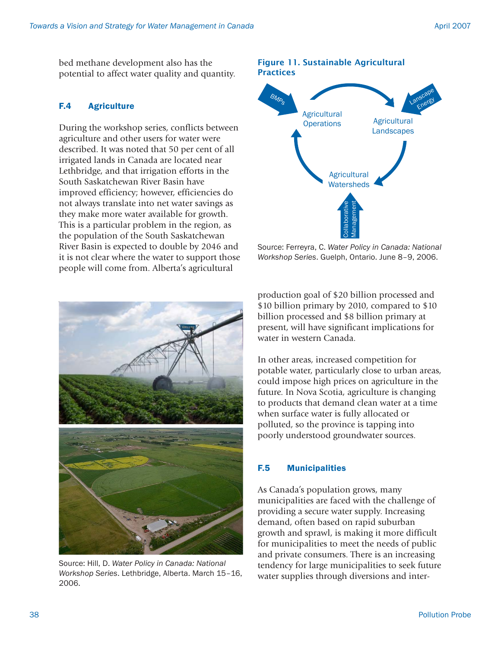bed methane development also has the potential to affect water quality and quantity.

## F.4 Agriculture

During the workshop series, conflicts between agriculture and other users for water were described. It was noted that 50 per cent of all irrigated lands in Canada are located near Lethbridge, and that irrigation efforts in the South Saskatchewan River Basin have improved efficiency; however, efficiencies do not always translate into net water savings as they make more water available for growth. This is a particular problem in the region, as the population of the South Saskatchewan River Basin is expected to double by 2046 and it is not clear where the water to support those people will come from. Alberta's agricultural



Source: Hill, D. *Water Policy in Canada: National Workshop Series*. Lethbridge, Alberta. March 15–16, 2006.

### Figure 11. Sustainable Agricultural **Practices Agricultural** Landscapes Lanscape Energy **Agricultural Operations BMP<sub>S</sub>**



Source: Ferreyra, C. *Water Policy in Canada: National Workshop Series*. Guelph, Ontario. June 8–9, 2006.

production goal of \$20 billion processed and \$10 billion primary by 2010, compared to \$10 billion processed and \$8 billion primary at present, will have significant implications for water in western Canada.

In other areas, increased competition for potable water, particularly close to urban areas, could impose high prices on agriculture in the future. In Nova Scotia, agriculture is changing to products that demand clean water at a time when surface water is fully allocated or polluted, so the province is tapping into poorly understood groundwater sources.

## F.5 Municipalities

As Canada's population grows, many municipalities are faced with the challenge of providing a secure water supply. Increasing demand, often based on rapid suburban growth and sprawl, is making it more difficult for municipalities to meet the needs of public and private consumers. There is an increasing tendency for large municipalities to seek future water supplies through diversions and inter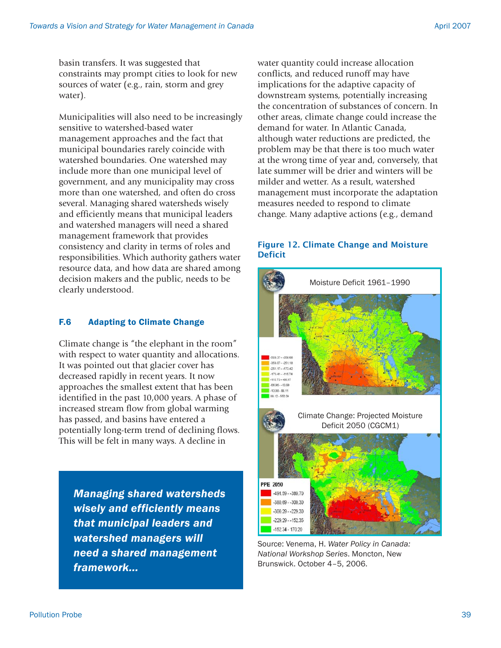basin transfers. It was suggested that constraints may prompt cities to look for new sources of water (e.g., rain, storm and grey water).

Municipalities will also need to be increasingly sensitive to watershed-based water management approaches and the fact that municipal boundaries rarely coincide with watershed boundaries. One watershed may include more than one municipal level of government, and any municipality may cross more than one watershed, and often do cross several. Managing shared watersheds wisely and efficiently means that municipal leaders and watershed managers will need a shared management framework that provides consistency and clarity in terms of roles and responsibilities. Which authority gathers water resource data, and how data are shared among decision makers and the public, needs to be clearly understood.

## F.6 Adapting to Climate Change

Climate change is "the elephant in the room" with respect to water quantity and allocations. It was pointed out that glacier cover has decreased rapidly in recent years. It now approaches the smallest extent that has been identified in the past 10,000 years. A phase of increased stream flow from global warming has passed, and basins have entered a potentially long-term trend of declining flows. This will be felt in many ways. A decline in

*Managing shared watersheds wisely and efficiently means that municipal leaders and watershed managers will need a shared management framework...*

water quantity could increase allocation conflicts, and reduced runoff may have implications for the adaptive capacity of downstream systems, potentially increasing the concentration of substances of concern. In other areas, climate change could increase the demand for water. In Atlantic Canada, although water reductions are predicted, the problem may be that there is too much water at the wrong time of year and, conversely, that late summer will be drier and winters will be milder and wetter. As a result, watershed management must incorporate the adaptation measures needed to respond to climate change. Many adaptive actions (e.g., demand

### Figure 12. Climate Change and Moisture Deficit



Source: Venema, H. *Water Policy in Canada: National Workshop Series*. Moncton, New Brunswick. October 4–5, 2006.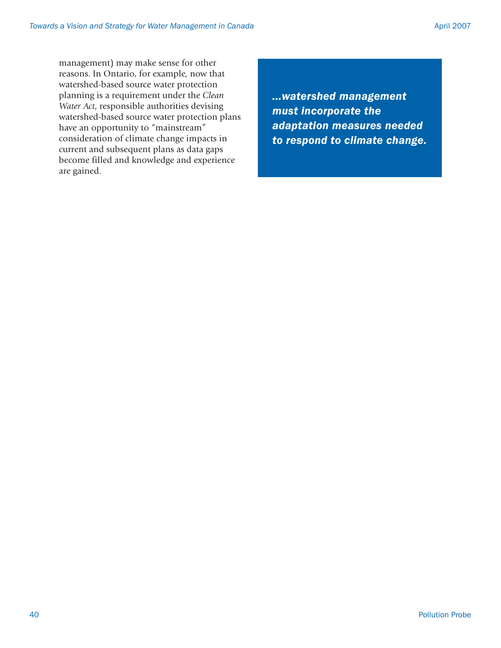management) may make sense for other reasons. In Ontario, for example, now that watershed-based source water protection planning is a requirement under the *Clean Water Act*, responsible authorities devising watershed-based source water protection plans have an opportunity to "mainstream" consideration of climate change impacts in current and subsequent plans as data gaps become filled and knowledge and experience are gained.

*...watershed management must incorporate the adaptation measures needed to respond to climate change.*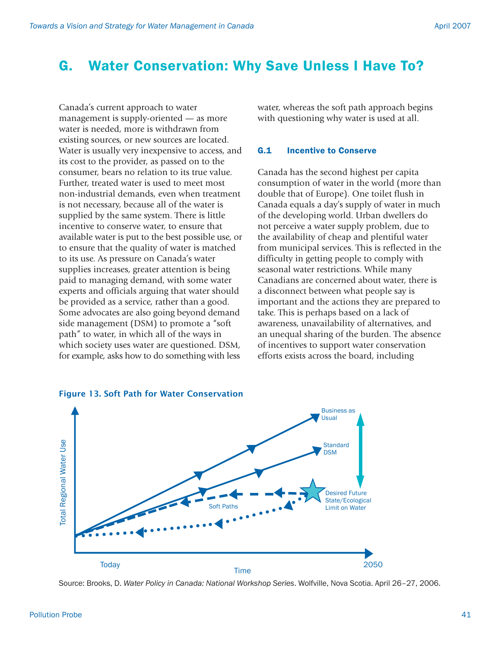## G. Water Conservation: Why Save Unless I Have To?

Canada's current approach to water management is supply-oriented — as more water is needed, more is withdrawn from existing sources, or new sources are located. Water is usually very inexpensive to access, and its cost to the provider, as passed on to the consumer, bears no relation to its true value. Further, treated water is used to meet most non-industrial demands, even when treatment is not necessary, because all of the water is supplied by the same system. There is little incentive to conserve water, to ensure that available water is put to the best possible use, or to ensure that the quality of water is matched to its use. As pressure on Canada's water supplies increases, greater attention is being paid to managing demand, with some water experts and officials arguing that water should be provided as a service, rather than a good. Some advocates are also going beyond demand side management (DSM) to promote a "soft path" to water, in which all of the ways in which society uses water are questioned. DSM, for example, asks how to do something with less

water, whereas the soft path approach begins with questioning why water is used at all.

#### G.1 Incentive to Conserve

Canada has the second highest per capita consumption of water in the world (more than double that of Europe). One toilet flush in Canada equals a day's supply of water in much of the developing world. Urban dwellers do not perceive a water supply problem, due to the availability of cheap and plentiful water from municipal services. This is reflected in the difficulty in getting people to comply with seasonal water restrictions. While many Canadians are concerned about water, there is a disconnect between what people say is important and the actions they are prepared to take. This is perhaps based on a lack of awareness, unavailability of alternatives, and an unequal sharing of the burden. The absence of incentives to support water conservation efforts exists across the board, including



Source: Brooks, D. *Water Policy in Canada: National Workshop Series*. Wolfville, Nova Scotia. April 26–27, 2006.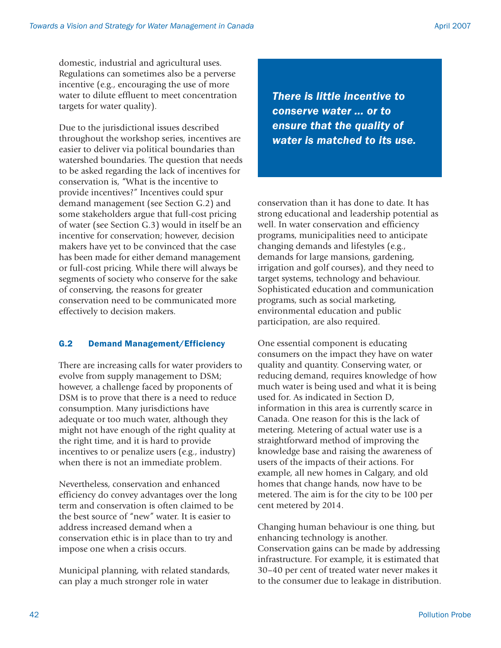domestic, industrial and agricultural uses. Regulations can sometimes also be a perverse incentive (e.g., encouraging the use of more water to dilute effluent to meet concentration targets for water quality).

Due to the jurisdictional issues described throughout the workshop series, incentives are easier to deliver via political boundaries than watershed boundaries. The question that needs to be asked regarding the lack of incentives for conservation is, "What is the incentive to provide incentives?" Incentives could spur demand management (see Section G.2) and some stakeholders argue that full-cost pricing of water (see Section G.3) would in itself be an incentive for conservation; however, decision makers have yet to be convinced that the case has been made for either demand management or full-cost pricing. While there will always be segments of society who conserve for the sake of conserving, the reasons for greater conservation need to be communicated more effectively to decision makers.

## G.2 Demand Management/Efficiency

There are increasing calls for water providers to evolve from supply management to DSM; however, a challenge faced by proponents of DSM is to prove that there is a need to reduce consumption. Many jurisdictions have adequate or too much water, although they might not have enough of the right quality at the right time, and it is hard to provide incentives to or penalize users (e.g., industry) when there is not an immediate problem.

Nevertheless, conservation and enhanced efficiency do convey advantages over the long term and conservation is often claimed to be the best source of "new" water. It is easier to address increased demand when a conservation ethic is in place than to try and impose one when a crisis occurs.

Municipal planning, with related standards, can play a much stronger role in water

*There is little incentive to conserve water ... or to ensure that the quality of water is matched to its use.*

conservation than it has done to date. It has strong educational and leadership potential as well. In water conservation and efficiency programs, municipalities need to anticipate changing demands and lifestyles (e.g., demands for large mansions, gardening, irrigation and golf courses), and they need to target systems, technology and behaviour. Sophisticated education and communication programs, such as social marketing, environmental education and public participation, are also required.

One essential component is educating consumers on the impact they have on water quality and quantity. Conserving water, or reducing demand, requires knowledge of how much water is being used and what it is being used for. As indicated in Section D, information in this area is currently scarce in Canada. One reason for this is the lack of metering. Metering of actual water use is a straightforward method of improving the knowledge base and raising the awareness of users of the impacts of their actions. For example, all new homes in Calgary, and old homes that change hands, now have to be metered. The aim is for the city to be 100 per cent metered by 2014.

Changing human behaviour is one thing, but enhancing technology is another. Conservation gains can be made by addressing infrastructure. For example, it is estimated that 30–40 per cent of treated water never makes it to the consumer due to leakage in distribution.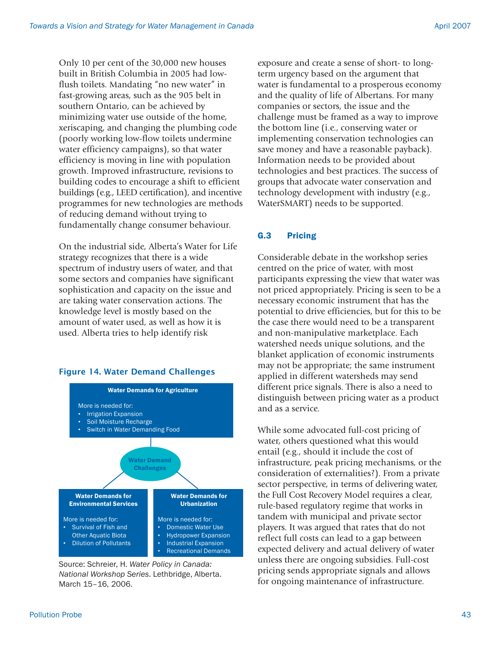Only 10 per cent of the 30,000 new houses built in British Columbia in 2005 had lowflush toilets. Mandating "no new water" in fast-growing areas, such as the 905 belt in southern Ontario, can be achieved by minimizing water use outside of the home, xeriscaping, and changing the plumbing code (poorly working low-flow toilets undermine water efficiency campaigns), so that water efficiency is moving in line with population growth. Improved infrastructure, revisions to building codes to encourage a shift to efficient buildings (e.g., LEED certification), and incentive programmes for new technologies are methods of reducing demand without trying to fundamentally change consumer behaviour.

On the industrial side, Alberta's Water for Life strategy recognizes that there is a wide spectrum of industry users of water, and that some sectors and companies have significant sophistication and capacity on the issue and are taking water conservation actions. The knowledge level is mostly based on the amount of water used, as well as how it is used. Alberta tries to help identify risk

#### Figure 14. Water Demand Challenges



Source: Schreier, H. *Water Policy in Canada: National Workshop Series*. Lethbridge, Alberta. March 15–16, 2006.

exposure and create a sense of short- to longterm urgency based on the argument that water is fundamental to a prosperous economy and the quality of life of Albertans. For many companies or sectors, the issue and the challenge must be framed as a way to improve the bottom line (i.e., conserving water or implementing conservation technologies can save money and have a reasonable payback). Information needs to be provided about technologies and best practices. The success of groups that advocate water conservation and technology development with industry (e.g., WaterSMART) needs to be supported.

#### G.3 Pricing

Considerable debate in the workshop series centred on the price of water, with most participants expressing the view that water was not priced appropriately. Pricing is seen to be a necessary economic instrument that has the potential to drive efficiencies, but for this to be the case there would need to be a transparent and non-manipulative marketplace. Each watershed needs unique solutions, and the blanket application of economic instruments may not be appropriate; the same instrument applied in different watersheds may send different price signals. There is also a need to distinguish between pricing water as a product and as a service.

While some advocated full-cost pricing of water, others questioned what this would entail (e.g., should it include the cost of infrastructure, peak pricing mechanisms, or the consideration of externalities?). From a private sector perspective, in terms of delivering water, the Full Cost Recovery Model requires a clear, rule-based regulatory regime that works in tandem with municipal and private sector players. It was argued that rates that do not reflect full costs can lead to a gap between expected delivery and actual delivery of water unless there are ongoing subsidies. Full-cost pricing sends appropriate signals and allows for ongoing maintenance of infrastructure.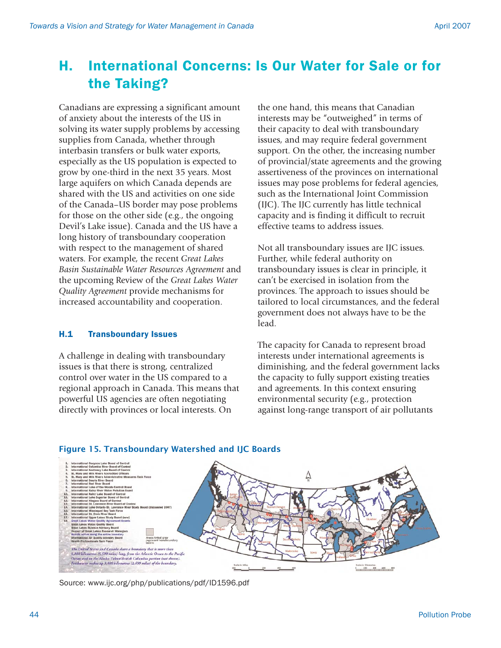## H. International Concerns: Is Our Water for Sale or for the Taking?

Canadians are expressing a significant amount of anxiety about the interests of the US in solving its water supply problems by accessing supplies from Canada, whether through interbasin transfers or bulk water exports, especially as the US population is expected to grow by one-third in the next 35 years. Most large aquifers on which Canada depends are shared with the US and activities on one side of the Canada–US border may pose problems for those on the other side (e.g., the ongoing Devil's Lake issue). Canada and the US have a long history of transboundary cooperation with respect to the management of shared waters. For example, the recent *Great Lakes Basin Sustainable Water Resources Agreement* and the upcoming Review of the *Great Lakes Water Quality Agreement* provide mechanisms for increased accountability and cooperation.

#### H.1 Transboundary Issues

A challenge in dealing with transboundary issues is that there is strong, centralized control over water in the US compared to a regional approach in Canada. This means that powerful US agencies are often negotiating directly with provinces or local interests. On

the one hand, this means that Canadian interests may be "outweighed" in terms of their capacity to deal with transboundary issues, and may require federal government support. On the other, the increasing number of provincial/state agreements and the growing assertiveness of the provinces on international issues may pose problems for federal agencies, such as the International Joint Commission (IJC). The IJC currently has little technical capacity and is finding it difficult to recruit effective teams to address issues.

Not all transboundary issues are IJC issues. Further, while federal authority on transboundary issues is clear in principle, it can't be exercised in isolation from the provinces. The approach to issues should be tailored to local circumstances, and the federal government does not always have to be the lead.

The capacity for Canada to represent broad interests under international agreements is diminishing, and the federal government lacks the capacity to fully support existing treaties and agreements. In this context ensuring environmental security (e.g., protection against long-range transport of air pollutants



#### Figure 15. Transboundary Watershed and IJC Boards

Source: www.ijc.org/php/publications/pdf/ID1596.pdf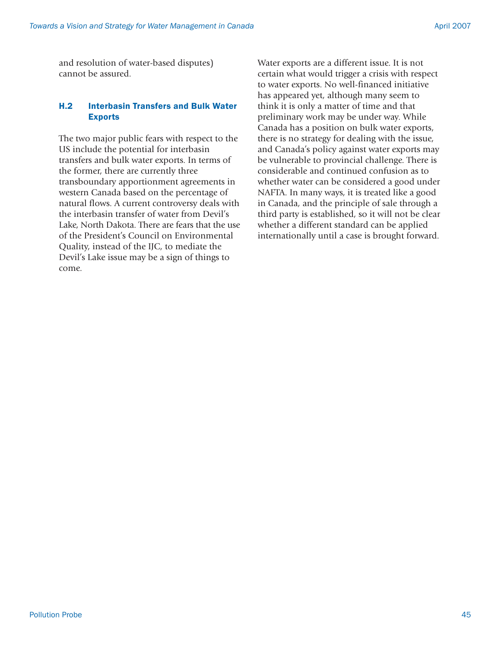and resolution of water-based disputes) cannot be assured.

#### H.2 Interbasin Transfers and Bulk Water Exports

The two major public fears with respect to the US include the potential for interbasin transfers and bulk water exports. In terms of the former, there are currently three transboundary apportionment agreements in western Canada based on the percentage of natural flows. A current controversy deals with the interbasin transfer of water from Devil's Lake, North Dakota. There are fears that the use of the President's Council on Environmental Quality, instead of the IJC, to mediate the Devil's Lake issue may be a sign of things to come.

Water exports are a different issue. It is not certain what would trigger a crisis with respect to water exports. No well-financed initiative has appeared yet, although many seem to think it is only a matter of time and that preliminary work may be under way. While Canada has a position on bulk water exports, there is no strategy for dealing with the issue, and Canada's policy against water exports may be vulnerable to provincial challenge. There is considerable and continued confusion as to whether water can be considered a good under NAFTA. In many ways, it is treated like a good in Canada, and the principle of sale through a third party is established, so it will not be clear whether a different standard can be applied internationally until a case is brought forward.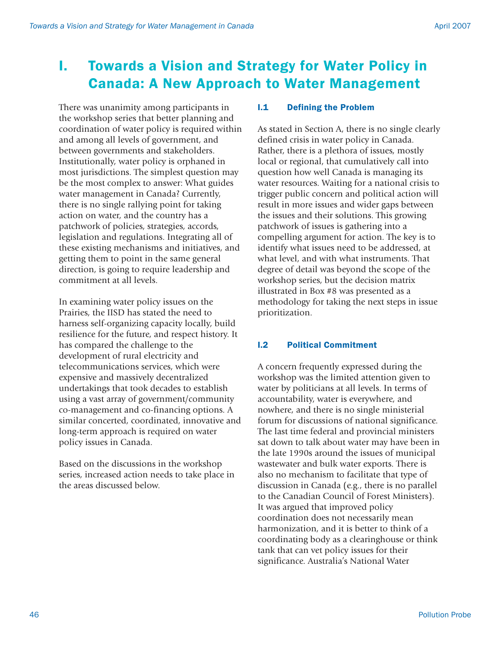## I. Towards a Vision and Strategy for Water Policy in Canada: A New Approach to Water Management

There was unanimity among participants in the workshop series that better planning and coordination of water policy is required within and among all levels of government, and between governments and stakeholders. Institutionally, water policy is orphaned in most jurisdictions. The simplest question may be the most complex to answer: What guides water management in Canada? Currently, there is no single rallying point for taking action on water, and the country has a patchwork of policies, strategies, accords, legislation and regulations. Integrating all of these existing mechanisms and initiatives, and getting them to point in the same general direction, is going to require leadership and commitment at all levels.

In examining water policy issues on the Prairies, the IISD has stated the need to harness self-organizing capacity locally, build resilience for the future, and respect history. It has compared the challenge to the development of rural electricity and telecommunications services, which were expensive and massively decentralized undertakings that took decades to establish using a vast array of government/community co-management and co-financing options. A similar concerted, coordinated, innovative and long-term approach is required on water policy issues in Canada.

Based on the discussions in the workshop series, increased action needs to take place in the areas discussed below.

### I.1 Defining the Problem

As stated in Section A, there is no single clearly defined crisis in water policy in Canada. Rather, there is a plethora of issues, mostly local or regional, that cumulatively call into question how well Canada is managing its water resources. Waiting for a national crisis to trigger public concern and political action will result in more issues and wider gaps between the issues and their solutions. This growing patchwork of issues is gathering into a compelling argument for action. The key is to identify what issues need to be addressed, at what level, and with what instruments. That degree of detail was beyond the scope of the workshop series, but the decision matrix illustrated in Box #8 was presented as a methodology for taking the next steps in issue prioritization.

## I.2 Political Commitment

A concern frequently expressed during the workshop was the limited attention given to water by politicians at all levels. In terms of accountability, water is everywhere, and nowhere, and there is no single ministerial forum for discussions of national significance. The last time federal and provincial ministers sat down to talk about water may have been in the late 1990s around the issues of municipal wastewater and bulk water exports. There is also no mechanism to facilitate that type of discussion in Canada (e.g., there is no parallel to the Canadian Council of Forest Ministers). It was argued that improved policy coordination does not necessarily mean harmonization, and it is better to think of a coordinating body as a clearinghouse or think tank that can vet policy issues for their significance. Australia's National Water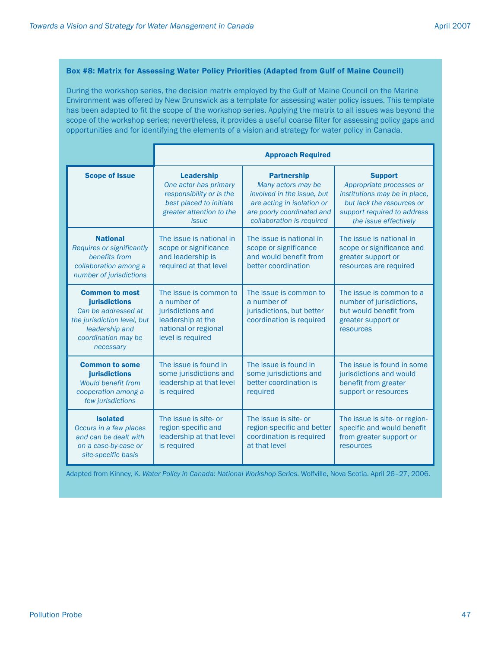#### Box #8: Matrix for Assessing Water Policy Priorities (Adapted from Gulf of Maine Council)

During the workshop series, the decision matrix employed by the Gulf of Maine Council on the Marine Environment was offered by New Brunswick as a template for assessing water policy issues. This template has been adapted to fit the scope of the workshop series. Applying the matrix to all issues was beyond the scope of the workshop series; nevertheless, it provides a useful coarse filter for assessing policy gaps and opportunities and for identifying the elements of a vision and strategy for water policy in Canada.

|                                                                                                                                                    | <b>Approach Required</b>                                                                                                                      |                                                                                                                                                                 |                                                                                                                                                                  |  |
|----------------------------------------------------------------------------------------------------------------------------------------------------|-----------------------------------------------------------------------------------------------------------------------------------------------|-----------------------------------------------------------------------------------------------------------------------------------------------------------------|------------------------------------------------------------------------------------------------------------------------------------------------------------------|--|
| <b>Scope of Issue</b>                                                                                                                              | <b>Leadership</b><br>One actor has primary<br>responsibility or is the<br>best placed to initiate<br>greater attention to the<br><i>issue</i> | <b>Partnership</b><br>Many actors may be<br>involved in the issue, but<br>are acting in isolation or<br>are poorly coordinated and<br>collaboration is required | <b>Support</b><br>Appropriate processes or<br>institutions may be in place,<br>but lack the resources or<br>support required to address<br>the issue effectively |  |
| <b>National</b><br><b>Requires or significantly</b><br>benefits from<br>collaboration among a<br>number of jurisdictions                           | The issue is national in<br>scope or significance<br>and leadership is<br>required at that level                                              | The issue is national in<br>scope or significance<br>and would benefit from<br>better coordination                                                              | The issue is national in<br>scope or significance and<br>greater support or<br>resources are required                                                            |  |
| <b>Common to most</b><br>jurisdictions<br>Can be addressed at<br>the jurisdiction level, but<br>leadership and<br>coordination may be<br>necessary | The issue is common to<br>a number of<br>jurisdictions and<br>leadership at the<br>national or regional<br>level is required                  | The issue is common to<br>a number of<br>jurisdictions, but better<br>coordination is required                                                                  | The issue is common to a<br>number of jurisdictions,<br>but would benefit from<br>greater support or<br>resources                                                |  |
| <b>Common to some</b><br>jurisdictions<br><b>Would benefit from</b><br>cooperation among a<br>few jurisdictions                                    | The issue is found in<br>some jurisdictions and<br>leadership at that level<br>is required                                                    | The issue is found in<br>some jurisdictions and<br>better coordination is<br>required                                                                           | The issue is found in some<br>jurisdictions and would<br>benefit from greater<br>support or resources                                                            |  |
| <b>Isolated</b><br>Occurs in a few places<br>and can be dealt with<br>on a case-by-case or<br>site-specific basis                                  | The issue is site- or<br>region-specific and<br>leadership at that level<br>is required                                                       | The issue is site- or<br>region-specific and better<br>coordination is required<br>at that level                                                                | The issue is site- or region-<br>specific and would benefit<br>from greater support or<br>resources                                                              |  |

Adapted from Kinney, K. *Water Policy in Canada: National Workshop Series*. Wolfville, Nova Scotia. April 26–27, 2006.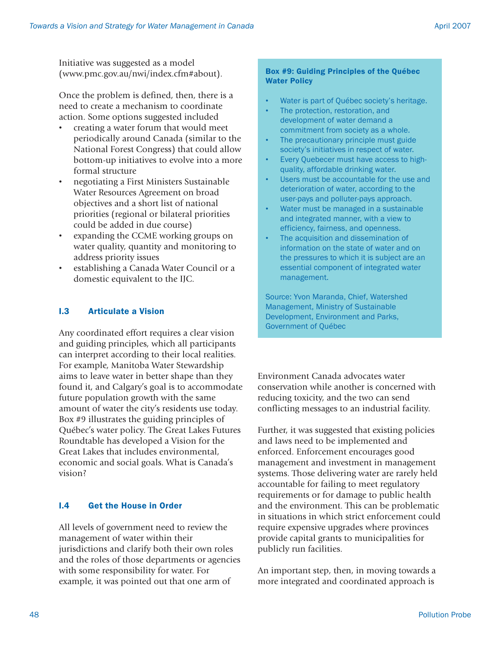Initiative was suggested as a model (www.pmc.gov.au/nwi/index.cfm#about).

Once the problem is defined, then, there is a need to create a mechanism to coordinate action. Some options suggested included

- creating a water forum that would meet periodically around Canada (similar to the National Forest Congress) that could allow bottom-up initiatives to evolve into a more formal structure
- negotiating a First Ministers Sustainable Water Resources Agreement on broad objectives and a short list of national priorities (regional or bilateral priorities could be added in due course)
- expanding the CCME working groups on water quality, quantity and monitoring to address priority issues
- establishing a Canada Water Council or a domestic equivalent to the IJC.

#### I.3 Articulate a Vision

Any coordinated effort requires a clear vision and guiding principles, which all participants can interpret according to their local realities. For example, Manitoba Water Stewardship aims to leave water in better shape than they found it, and Calgary's goal is to accommodate future population growth with the same amount of water the city's residents use today. Box #9 illustrates the guiding principles of Québec's water policy. The Great Lakes Futures Roundtable has developed a Vision for the Great Lakes that includes environmental, economic and social goals. What is Canada's vision?

#### I.4 Get the House in Order

All levels of government need to review the management of water within their jurisdictions and clarify both their own roles and the roles of those departments or agencies with some responsibility for water. For example, it was pointed out that one arm of

#### Box #9: Guiding Principles of the Québec Water Policy

- Water is part of Québec society's heritage.
- The protection, restoration, and development of water demand a commitment from society as a whole.
- The precautionary principle must guide society's initiatives in respect of water.
- Every Quebecer must have access to highquality, affordable drinking water.
- Users must be accountable for the use and deterioration of water, according to the user-pays and polluter-pays approach.
- Water must be managed in a sustainable and integrated manner, with a view to efficiency, fairness, and openness.
- The acquisition and dissemination of information on the state of water and on the pressures to which it is subject are an essential component of integrated water management.

Source: Yvon Maranda, Chief, Watershed Management, Ministry of Sustainable Development, Environment and Parks, Government of Québec

Environment Canada advocates water conservation while another is concerned with reducing toxicity, and the two can send conflicting messages to an industrial facility.

Further, it was suggested that existing policies and laws need to be implemented and enforced. Enforcement encourages good management and investment in management systems. Those delivering water are rarely held accountable for failing to meet regulatory requirements or for damage to public health and the environment. This can be problematic in situations in which strict enforcement could require expensive upgrades where provinces provide capital grants to municipalities for publicly run facilities.

An important step, then, in moving towards a more integrated and coordinated approach is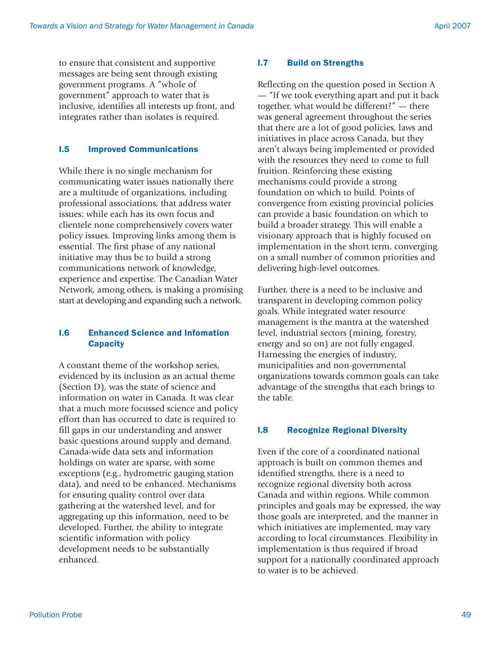to ensure that consistent and supportive messages are being sent through existing government programs. A "whole of government" approach to water that is inclusive, identifies all interests up front, and integrates rather than isolates is required.

## I.5 Improved Communications

While there is no single mechanism for communicating water issues nationally there are a multitude of organizations, including professional associations, that address water issues; while each has its own focus and clientele none comprehensively covers water policy issues. Improving links among them is essential. The first phase of any national initiative may thus be to build a strong communications network of knowledge, experience and expertise. The Canadian Water Network, among others, is making a promising start at developing and expanding such a network.

## I.6 Enhanced Science and Infomation **Capacity**

A constant theme of the workshop series, evidenced by its inclusion as an actual theme (Section D), was the state of science and information on water in Canada. It was clear that a much more focussed science and policy effort than has occurred to date is required to fill gaps in our understanding and answer basic questions around supply and demand. Canada-wide data sets and information holdings on water are sparse, with some exceptions (e.g., hydrometric gauging station data), and need to be enhanced. Mechanisms for ensuring quality control over data gathering at the watershed level, and for aggregating up this information, need to be developed. Further, the ability to integrate scientific information with policy development needs to be substantially enhanced.

## I.7 Build on Strengths

Reflecting on the question posed in Section A — "If we took everything apart and put it back together, what would be different?" — there was general agreement throughout the series that there are a lot of good policies, laws and initiatives in place across Canada, but they aren't always being implemented or provided with the resources they need to come to full fruition. Reinforcing these existing mechanisms could provide a strong foundation on which to build. Points of convergence from existing provincial policies can provide a basic foundation on which to build a broader strategy. This will enable a visionary approach that is highly focused on implementation in the short term, converging on a small number of common priorities and delivering high-level outcomes.

Further, there is a need to be inclusive and transparent in developing common policy goals. While integrated water resource management is the mantra at the watershed level, industrial sectors (mining, forestry, energy and so on) are not fully engaged. Harnessing the energies of industry, municipalities and non-governmental organizations towards common goals can take advantage of the strengths that each brings to the table.

## I.8 Recognize Regional Diversity

Even if the core of a coordinated national approach is built on common themes and identified strengths, there is a need to recognize regional diversity both across Canada and within regions. While common principles and goals may be expressed, the way those goals are interpreted, and the manner in which initiatives are implemented, may vary according to local circumstances. Flexibility in implementation is thus required if broad support for a nationally coordinated approach to water is to be achieved.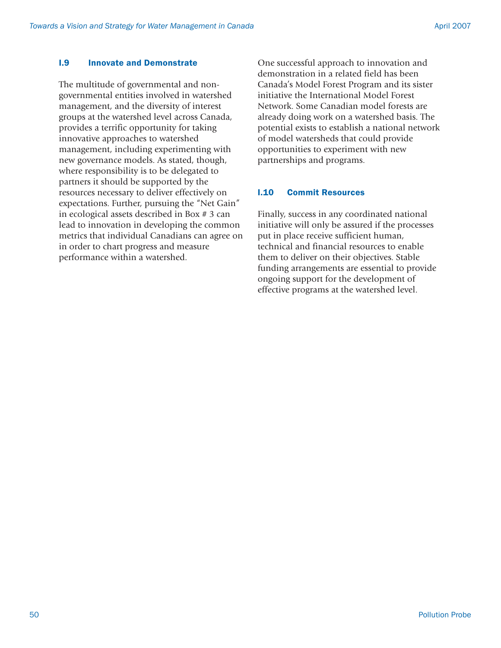#### I.9 Innovate and Demonstrate

The multitude of governmental and nongovernmental entities involved in watershed management, and the diversity of interest groups at the watershed level across Canada, provides a terrific opportunity for taking innovative approaches to watershed management, including experimenting with new governance models. As stated, though, where responsibility is to be delegated to partners it should be supported by the resources necessary to deliver effectively on expectations. Further, pursuing the "Net Gain" in ecological assets described in Box # 3 can lead to innovation in developing the common metrics that individual Canadians can agree on in order to chart progress and measure performance within a watershed.

One successful approach to innovation and demonstration in a related field has been Canada's Model Forest Program and its sister initiative the International Model Forest Network. Some Canadian model forests are already doing work on a watershed basis. The potential exists to establish a national network of model watersheds that could provide opportunities to experiment with new partnerships and programs.

#### I.10 Commit Resources

Finally, success in any coordinated national initiative will only be assured if the processes put in place receive sufficient human, technical and financial resources to enable them to deliver on their objectives. Stable funding arrangements are essential to provide ongoing support for the development of effective programs at the watershed level.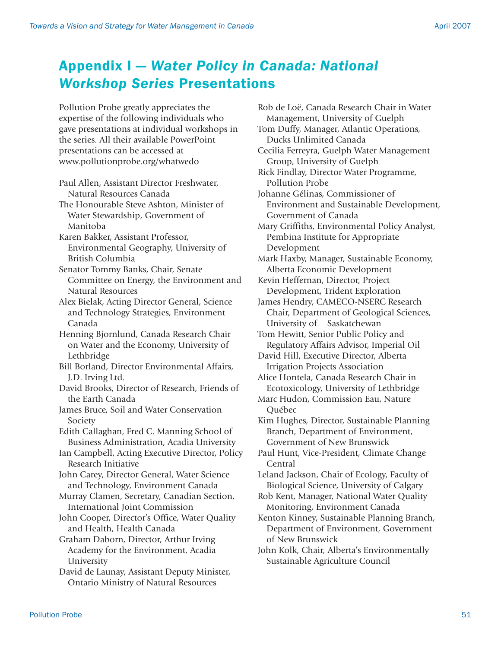## Appendix I — *Water Policy in Canada: National Workshop Series* Presentations

Pollution Probe greatly appreciates the expertise of the following individuals who gave presentations at individual workshops in the series. All their available PowerPoint presentations can be accessed at www.pollutionprobe.org/whatwedo

Paul Allen, Assistant Director Freshwater, Natural Resources Canada

The Honourable Steve Ashton, Minister of Water Stewardship, Government of Manitoba

Karen Bakker, Assistant Professor, Environmental Geography, University of British Columbia

Senator Tommy Banks, Chair, Senate Committee on Energy, the Environment and Natural Resources

Alex Bielak, Acting Director General, Science and Technology Strategies, Environment Canada

Henning Bjornlund, Canada Research Chair on Water and the Economy, University of Lethbridge

Bill Borland, Director Environmental Affairs, J.D. Irving Ltd.

David Brooks, Director of Research, Friends of the Earth Canada

James Bruce, Soil and Water Conservation Society

Edith Callaghan, Fred C. Manning School of Business Administration, Acadia University Ian Campbell, Acting Executive Director, Policy

Research Initiative

John Carey, Director General, Water Science and Technology, Environment Canada

Murray Clamen, Secretary, Canadian Section, International Joint Commission

John Cooper, Director's Office, Water Quality and Health, Health Canada

Graham Daborn, Director, Arthur Irving Academy for the Environment, Acadia University

David de Launay, Assistant Deputy Minister, Ontario Ministry of Natural Resources

Rob de Loë, Canada Research Chair in Water Management, University of Guelph Tom Duffy, Manager, Atlantic Operations, Ducks Unlimited Canada Cecilia Ferreyra, Guelph Water Management Group, University of Guelph Rick Findlay, Director Water Programme, Pollution Probe Johanne Gélinas, Commissioner of Environment and Sustainable Development, Government of Canada Mary Griffiths, Environmental Policy Analyst, Pembina Institute for Appropriate Development Mark Haxby, Manager, Sustainable Economy, Alberta Economic Development Kevin Heffernan, Director, Project Development, Trident Exploration James Hendry, CAMECO-NSERC Research Chair, Department of Geological Sciences, University of Saskatchewan Tom Hewitt, Senior Public Policy and Regulatory Affairs Advisor, Imperial Oil David Hill, Executive Director, Alberta Irrigation Projects Association Alice Hontela, Canada Research Chair in Ecotoxicology, University of Lethbridge Marc Hudon, Commission Eau, Nature Québec Kim Hughes, Director, Sustainable Planning Branch, Department of Environment, Government of New Brunswick Paul Hunt, Vice-President, Climate Change Central Leland Jackson, Chair of Ecology, Faculty of Biological Science, University of Calgary Rob Kent, Manager, National Water Quality Monitoring, Environment Canada Kenton Kinney, Sustainable Planning Branch, Department of Environment, Government of New Brunswick John Kolk, Chair, Alberta's Environmentally

Sustainable Agriculture Council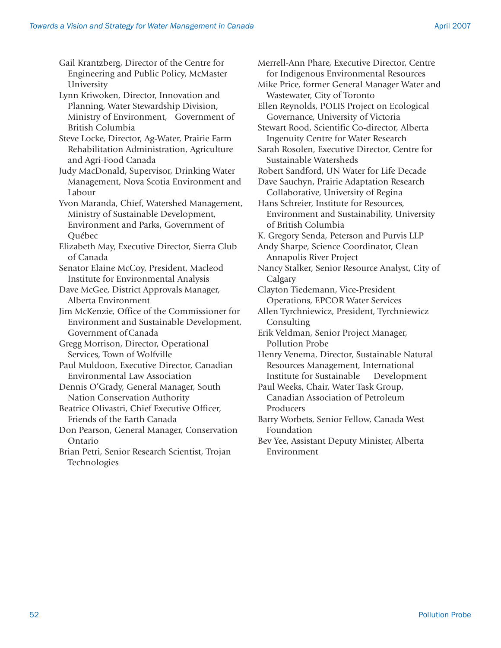Gail Krantzberg, Director of the Centre for Engineering and Public Policy, McMaster University

Lynn Kriwoken, Director, Innovation and Planning, Water Stewardship Division, Ministry of Environment, Government of British Columbia

Steve Locke, Director, Ag-Water, Prairie Farm Rehabilitation Administration, Agriculture and Agri-Food Canada

Judy MacDonald, Supervisor, Drinking Water Management, Nova Scotia Environment and Labour

Yvon Maranda, Chief, Watershed Management, Ministry of Sustainable Development, Environment and Parks, Government of Québec

Elizabeth May, Executive Director, Sierra Club of Canada

Senator Elaine McCoy, President, Macleod Institute for Environmental Analysis

Dave McGee, District Approvals Manager, Alberta Environment

Jim McKenzie, Office of the Commissioner for Environment and Sustainable Development, Government of Canada

Gregg Morrison, Director, Operational Services, Town of Wolfville

Paul Muldoon, Executive Director, Canadian Environmental Law Association

Dennis O'Grady, General Manager, South Nation Conservation Authority

Beatrice Olivastri, Chief Executive Officer, Friends of the Earth Canada

Don Pearson, General Manager, Conservation Ontario

Brian Petri, Senior Research Scientist, Trojan Technologies

Merrell-Ann Phare, Executive Director, Centre for Indigenous Environmental Resources Mike Price, former General Manager Water and Wastewater, City of Toronto Ellen Reynolds, POLIS Project on Ecological Governance, University of Victoria Stewart Rood, Scientific Co-director, Alberta Ingenuity Centre for Water Research Sarah Rosolen, Executive Director, Centre for Sustainable Watersheds Robert Sandford, UN Water for Life Decade Dave Sauchyn, Prairie Adaptation Research Collaborative, University of Regina Hans Schreier, Institute for Resources, Environment and Sustainability, University of British Columbia K. Gregory Senda, Peterson and Purvis LLP Andy Sharpe, Science Coordinator, Clean Annapolis River Project Nancy Stalker, Senior Resource Analyst, City of Calgary Clayton Tiedemann, Vice-President Operations, EPCOR Water Services Allen Tyrchniewicz, President, Tyrchniewicz Consulting Erik Veldman, Senior Project Manager, Pollution Probe Henry Venema, Director, Sustainable Natural Resources Management, International Institute for Sustainable Development Paul Weeks, Chair, Water Task Group, Canadian Association of Petroleum Producers Barry Worbets, Senior Fellow, Canada West Foundation Bev Yee, Assistant Deputy Minister, Alberta

Environment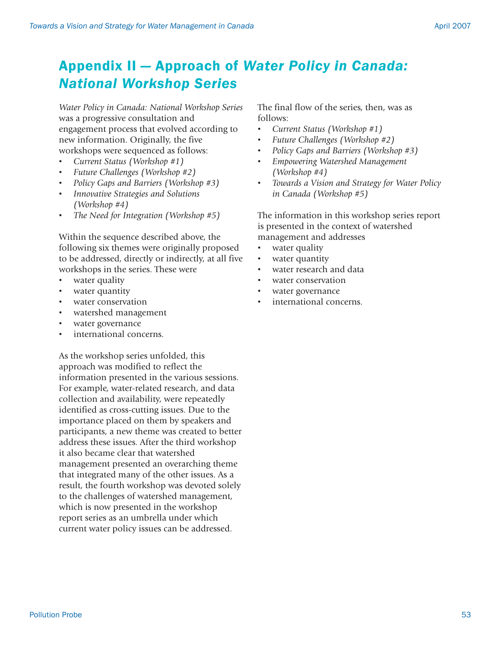## Appendix II — Approach of *Water Policy in Canada: National Workshop Series*

*Water Policy in Canada: National Workshop Series* was a progressive consultation and engagement process that evolved according to new information. Originally, the five workshops were sequenced as follows:

- *Current Status (Workshop #1)*
- *Future Challenges (Workshop #2)*
- *Policy Gaps and Barriers (Workshop #3)*
- *Innovative Strategies and Solutions (Workshop #4)*
- *The Need for Integration (Workshop #5)*

Within the sequence described above, the following six themes were originally proposed to be addressed, directly or indirectly, at all five workshops in the series. These were

- water quality
- water quantity
- water conservation
- watershed management
- water governance
- international concerns.

As the workshop series unfolded, this approach was modified to reflect the information presented in the various sessions. For example, water-related research, and data collection and availability, were repeatedly identified as cross-cutting issues. Due to the importance placed on them by speakers and participants, a new theme was created to better address these issues. After the third workshop it also became clear that watershed management presented an overarching theme that integrated many of the other issues. As a result, the fourth workshop was devoted solely to the challenges of watershed management, which is now presented in the workshop report series as an umbrella under which current water policy issues can be addressed.

The final flow of the series, then, was as follows:

- *Current Status (Workshop #1)*
- *Future Challenges (Workshop #2)*
- *Policy Gaps and Barriers (Workshop #3)*
- *Empowering Watershed Management (Workshop #4)*
- *Towards a Vision and Strategy for Water Policy in Canada (Workshop #5)*

The information in this workshop series report is presented in the context of watershed management and addresses

- water quality
- water quantity
- water research and data
- water conservation
- water governance
- international concerns.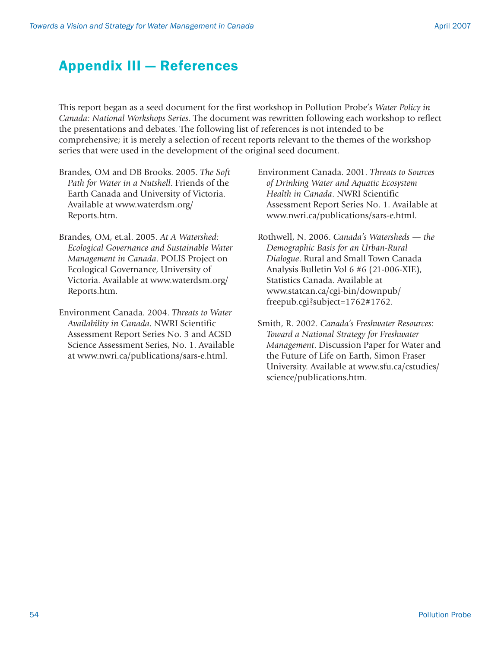## Appendix III — References

This report began as a seed document for the first workshop in Pollution Probe's *Water Policy in Canada: National Workshops Series*. The document was rewritten following each workshop to reflect the presentations and debates. The following list of references is not intended to be comprehensive; it is merely a selection of recent reports relevant to the themes of the workshop series that were used in the development of the original seed document.

- Brandes, OM and DB Brooks. 2005. *The Soft Path for Water in a Nutshell*. Friends of the Earth Canada and University of Victoria. Available at www.waterdsm.org/ Reports.htm.
- Brandes, OM, et.al. 2005. *At A Watershed: Ecological Governance and Sustainable Water Management in Canada*. POLIS Project on Ecological Governance, University of Victoria. Available at www.waterdsm.org/ Reports.htm.
- Environment Canada. 2004. *Threats to Water Availability in Canada*. NWRI Scientific Assessment Report Series No. 3 and ACSD Science Assessment Series, No. 1. Available at www.nwri.ca/publications/sars-e.html.
- Environment Canada. 2001. *Threats to Sources of Drinking Water and Aquatic Ecosystem Health in Canada*. NWRI Scientific Assessment Report Series No. 1. Available at www.nwri.ca/publications/sars-e.html.
- Rothwell, N. 2006. *Canada's Watersheds the Demographic Basis for an Urban-Rural Dialogue*. Rural and Small Town Canada Analysis Bulletin Vol 6 #6 (21-006-XIE), Statistics Canada. Available at www.statcan.ca/cgi-bin/downpub/ freepub.cgi?subject=1762#1762.
- Smith, R. 2002. *Canada's Freshwater Resources: Toward a National Strategy for Freshwater Management*. Discussion Paper for Water and the Future of Life on Earth, Simon Fraser University. Available at www.sfu.ca/cstudies/ science/publications.htm.